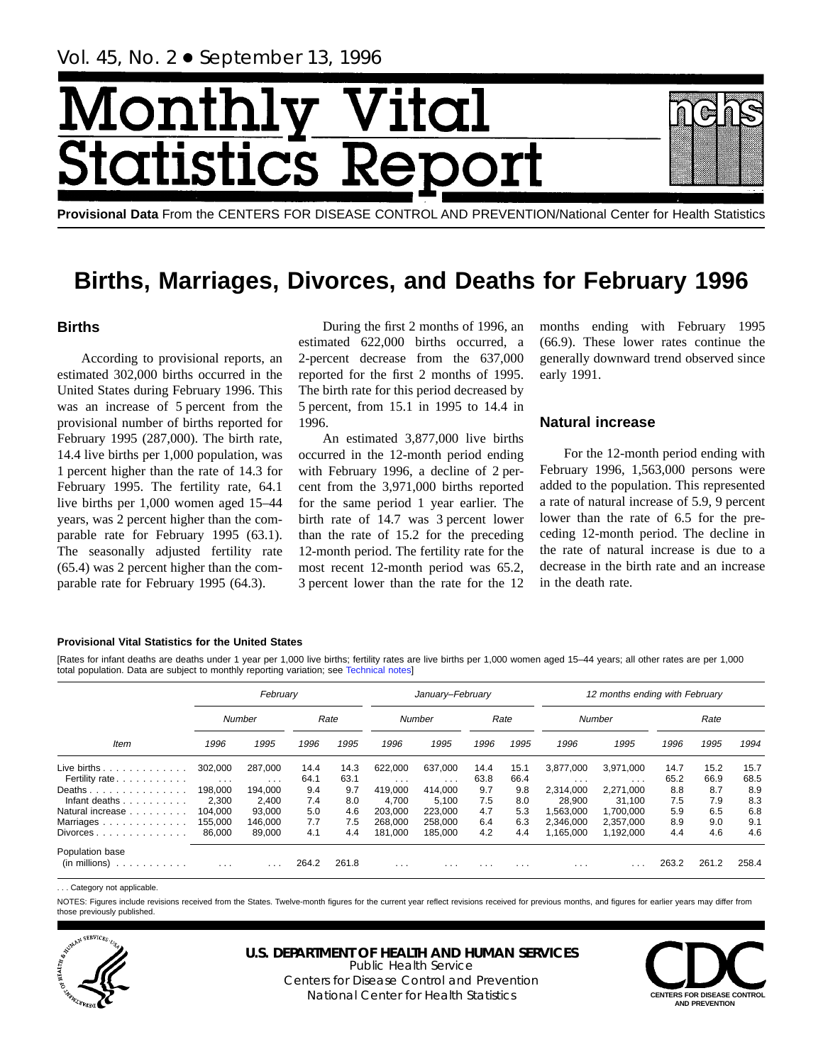# Month ltal  $CS<sub>1</sub>$ totis

**Provisional Data** From the CENTERS FOR DISEASE CONTROL AND PREVENTION/National Center for Health Statistics

## **Births, Marriages, Divorces, and Deaths for February 1996**

## **Births**

According to provisional reports, an estimated 302,000 births occurred in the United States during February 1996. This was an increase of 5 percent from the provisional number of births reported for February 1995 (287,000). The birth rate, 14.4 live births per 1,000 population, was 1 percent higher than the rate of 14.3 for February 1995. The fertility rate, 64.1 live births per 1,000 women aged 15–44 years, was 2 percent higher than the comparable rate for February 1995 (63.1). The seasonally adjusted fertility rate (65.4) was 2 percent higher than the comparable rate for February 1995 (64.3).

During the first 2 months of 1996, an estimated 622,000 births occurred, a 2-percent decrease from the 637,000 reported for the first 2 months of 1995. The birth rate for this period decreased by 5 percent, from 15.1 in 1995 to 14.4 in 1996.

An estimated 3,877,000 live births occurred in the 12-month period ending with February 1996, a decline of 2 percent from the 3,971,000 births reported for the same period 1 year earlier. The birth rate of 14.7 was 3 percent lower than the rate of 15.2 for the preceding 12-month period. The fertility rate for the most recent 12-month period was 65.2, 3 percent lower than the rate for the 12

months ending with February 1995 (66.9). These lower rates continue the generally downward trend observed since early 1991.

## **Natural increase**

For the 12-month period ending with February 1996, 1,563,000 persons were added to the population. This represented a rate of natural increase of 5.9, 9 percent lower than the rate of 6.5 for the preceding 12-month period. The decline in the rate of natural increase is due to a decrease in the birth rate and an increase in the death rate.

#### **Provisional Vital Statistics for the United States**

[Rates for infant deaths are deaths under 1 year per 1,000 live births; fertility rates are live births per 1,000 women aged 15–44 years; all other rates are per 1,000 total population. Data are subject to monthly reporting variation; see [Technical notes\]](#page-16-0)

|                                                         | February                        |                                    |             |              | January-February    |                     |             |              | 12 months ending with February |                         |             |             |              |  |
|---------------------------------------------------------|---------------------------------|------------------------------------|-------------|--------------|---------------------|---------------------|-------------|--------------|--------------------------------|-------------------------|-------------|-------------|--------------|--|
|                                                         |                                 | Number                             |             | Rate         |                     | Number              |             | Rate         |                                | Number                  |             | Rate        |              |  |
| Item                                                    | 1996                            | 1995                               | 1996        | 1995         | 1996                | 1995                | 1996        | 1995         | 1996                           | 1995                    | 1996        | 1995        | 1994         |  |
| Live births $\ldots$                                    | 302,000                         | 287.000                            | 14.4        | 14.3<br>63.1 | 622.000             | 637.000             | 14.4        | 15.1<br>66.4 | 3.877.000                      | 3.971.000               | 14.7        | 15.2        | 15.7<br>68.5 |  |
| Fertility rate<br>Deaths                                | $\sim$ $\sim$ $\sim$<br>198.000 | $\sim 100$ km s $^{-1}$<br>194.000 | 64.1<br>9.4 | 9.7          | $\cdots$<br>419.000 | $\cdots$<br>414.000 | 63.8<br>9.7 | 9.8          | $\cdots$<br>2.314.000          | $\cdots$<br>2.271.000   | 65.2<br>8.8 | 66.9<br>8.7 | 8.9          |  |
| Infant deaths $\ldots$ , $\ldots$                       | 2,300                           | 2,400                              | 7.4         | 8.0          | 4.700               | 5,100               | 7.5         | 8.0          | 28,900                         | 31.100                  | 7.5         | 7.9         | 8.3          |  |
| Natural increase                                        | 104.000                         | 93.000                             | 5.0         | 4.6          | 203,000             | 223,000             | 4.7         | 5.3          | 1.563.000                      | 1.700.000               | 5.9         | 6.5         | 6.8          |  |
| Marriages                                               | 155,000                         | 146.000                            | 7.7         | 7.5          | 268,000             | 258,000             | 6.4         | 6.3          | 2.346.000                      | 2.357.000               | 8.9         | 9.0         | 9.1          |  |
| $Divorces \dots \dots \dots \dots \dots$                | 86,000                          | 89,000                             | 4.1         | 4.4          | 181.000             | 185,000             | 4.2         | 4.4          | 1.165.000                      | 1.192.000               | 4.4         | 4.6         | 4.6          |  |
| Population base<br>$(in$ millions $) \dots \dots \dots$ | $\cdots$                        | $\cdots$                           | 264.2       | 261.8        | $\cdots$            | $\cdots$            | $\cdots$    | $\cdots$     | $\cdots$                       | $\cdot$ $\cdot$ $\cdot$ | 263.2       | 261.2       | 258.4        |  |

. . . Category not applicable.

NOTES: Figures include revisions received from the States. Twelve-month figures for the current year reflect revisions received for previous months, and figures for earlier years may differ from those previously published.



## **U.S. DEPARTMENT OF HEALTH AND HUMAN SERVICES**

Public Health Service Centers for Disease Control and Prevention National Center for Health Statistics **CENTERS FOR DISEASE CONTROL**

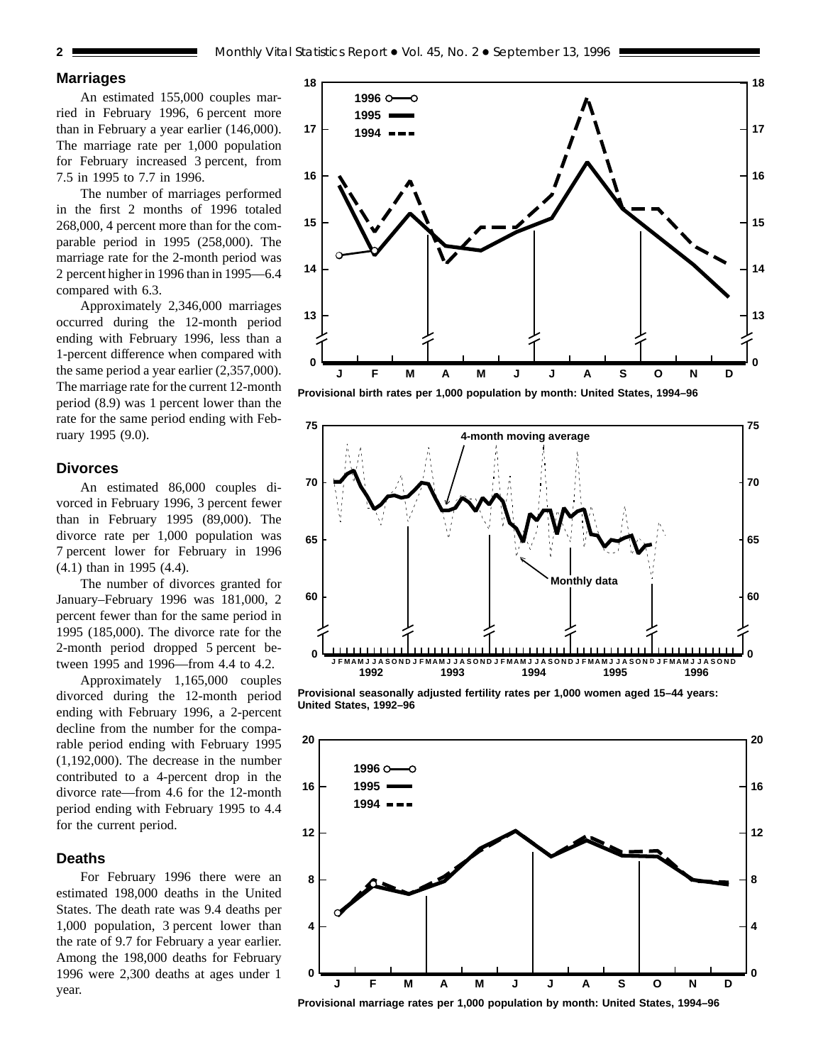## **Marriages**

An estimated 155,000 couples married in February 1996, 6 percent more than in February a year earlier (146,000). The marriage rate per 1,000 population for February increased 3 percent, from 7.5 in 1995 to 7.7 in 1996.

The number of marriages performed in the first 2 months of 1996 totaled 268,000, 4 percent more than for the comparable period in 1995 (258,000). The marriage rate for the 2-month period was 2 percent higher in 1996 than in 1995—6.4 compared with 6.3.

Approximately 2,346,000 marriages occurred during the 12-month period ending with February 1996, less than a 1-percent difference when compared with the same period a year earlier (2,357,000). The marriage rate for the current 12-month period (8.9) was 1 percent lower than the rate for the same period ending with February 1995 (9.0).

## **Divorces**

An estimated 86,000 couples divorced in February 1996, 3 percent fewer than in February 1995 (89,000). The divorce rate per 1,000 population was 7 percent lower for February in 1996 (4.1) than in 1995 (4.4).

The number of divorces granted for January–February 1996 was 181,000, 2 percent fewer than for the same period in 1995 (185,000). The divorce rate for the 2-month period dropped 5 percent between 1995 and 1996—from 4.4 to 4.2.

Approximately 1,165,000 couples divorced during the 12-month period ending with February 1996, a 2-percent decline from the number for the comparable period ending with February 1995 (1,192,000). The decrease in the number contributed to a 4-percent drop in the divorce rate—from 4.6 for the 12-month period ending with February 1995 to 4.4 for the current period.

## **Deaths**

For February 1996 there were an estimated 198,000 deaths in the United States. The death rate was 9.4 deaths per 1,000 population, 3 percent lower than the rate of 9.7 for February a year earlier. Among the 198,000 deaths for February 1996 were 2,300 deaths at ages under 1 year.



**Provisional birth rates per 1,000 population by month: United States, 1994–96**



**Provisional seasonally adjusted fertility rates per 1,000 women aged 15–44 years: United States, 1992–96**



**Provisional marriage rates per 1,000 population by month: United States, 1994–96**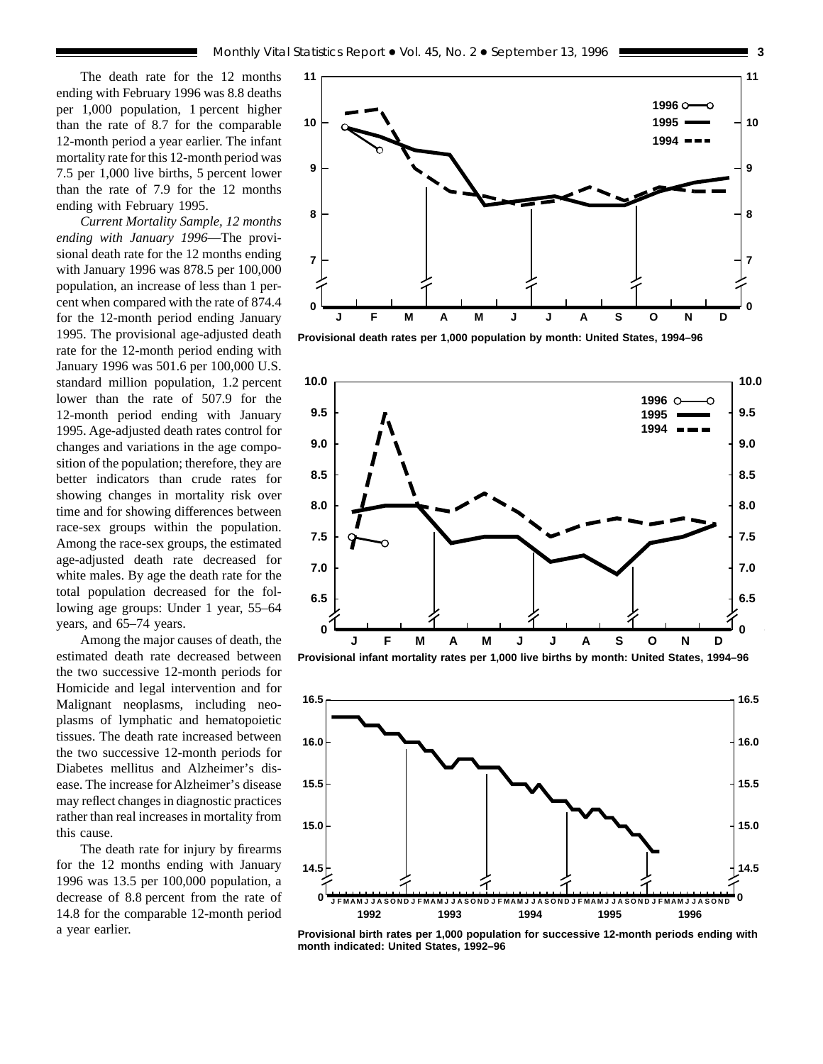The death rate for the 12 months ending with February 1996 was 8.8 deaths per 1,000 population, 1 percent higher than the rate of 8.7 for the comparable 12-month period a year earlier. The infant mortality rate for this 12-month period was 7.5 per 1,000 live births, 5 percent lower than the rate of 7.9 for the 12 months ending with February 1995.

*Current Mortality Sample, 12 months ending with January 1996*—The provisional death rate for the 12 months ending with January 1996 was 878.5 per 100,000 population, an increase of less than 1 percent when compared with the rate of 874.4 for the 12-month period ending January 1995. The provisional age-adjusted death rate for the 12-month period ending with January 1996 was 501.6 per 100,000 U.S. standard million population, 1.2 percent lower than the rate of 507.9 for the 12-month period ending with January 1995. Age-adjusted death rates control for changes and variations in the age composition of the population; therefore, they are better indicators than crude rates for showing changes in mortality risk over time and for showing differences between race-sex groups within the population. Among the race-sex groups, the estimated age-adjusted death rate decreased for white males. By age the death rate for the total population decreased for the following age groups: Under 1 year, 55–64 years, and 65–74 years.

Among the major causes of death, the estimated death rate decreased between the two successive 12-month periods for Homicide and legal intervention and for Malignant neoplasms, including neoplasms of lymphatic and hematopoietic tissues. The death rate increased between the two successive 12-month periods for Diabetes mellitus and Alzheimer's disease. The increase for Alzheimer's disease may reflect changes in diagnostic practices rather than real increases in mortality from this cause.

The death rate for injury by firearms for the 12 months ending with January 1996 was 13.5 per 100,000 population, a decrease of 8.8 percent from the rate of 14.8 for the comparable 12-month period a year earlier.



**Provisional death rates per 1,000 population by month: United States, 1994–96**







**Provisional birth rates per 1,000 population for successive 12-month periods ending with month indicated: United States, 1992–96**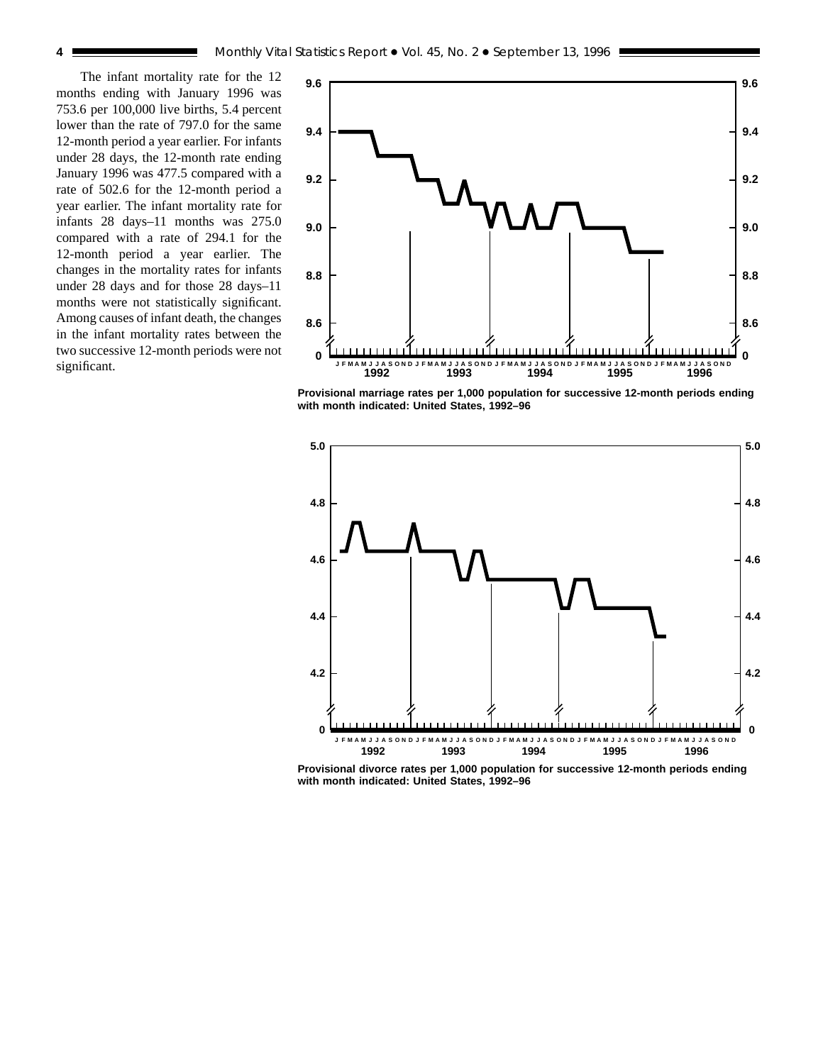The infant mortality rate for the 12 months ending with January 1996 was 753.6 per 100,000 live births, 5.4 percent lower than the rate of 797.0 for the same 12-month period a year earlier. For infants under 28 days, the 12-month rate ending January 1996 was 477.5 compared with a rate of 502.6 for the 12-month period a year earlier. The infant mortality rate for infants 28 days–11 months was 275.0 compared with a rate of 294.1 for the 12-month period a year earlier. The changes in the mortality rates for infants under 28 days and for those 28 days–11 months were not statistically significant. Among causes of infant death, the changes in the infant mortality rates between the two successive 12-month periods were not significant.



**Provisional marriage rates per 1,000 population for successive 12-month periods ending with month indicated: United States, 1992–96**



**Provisional divorce rates per 1,000 population for successive 12-month periods ending with month indicated: United States, 1992–96**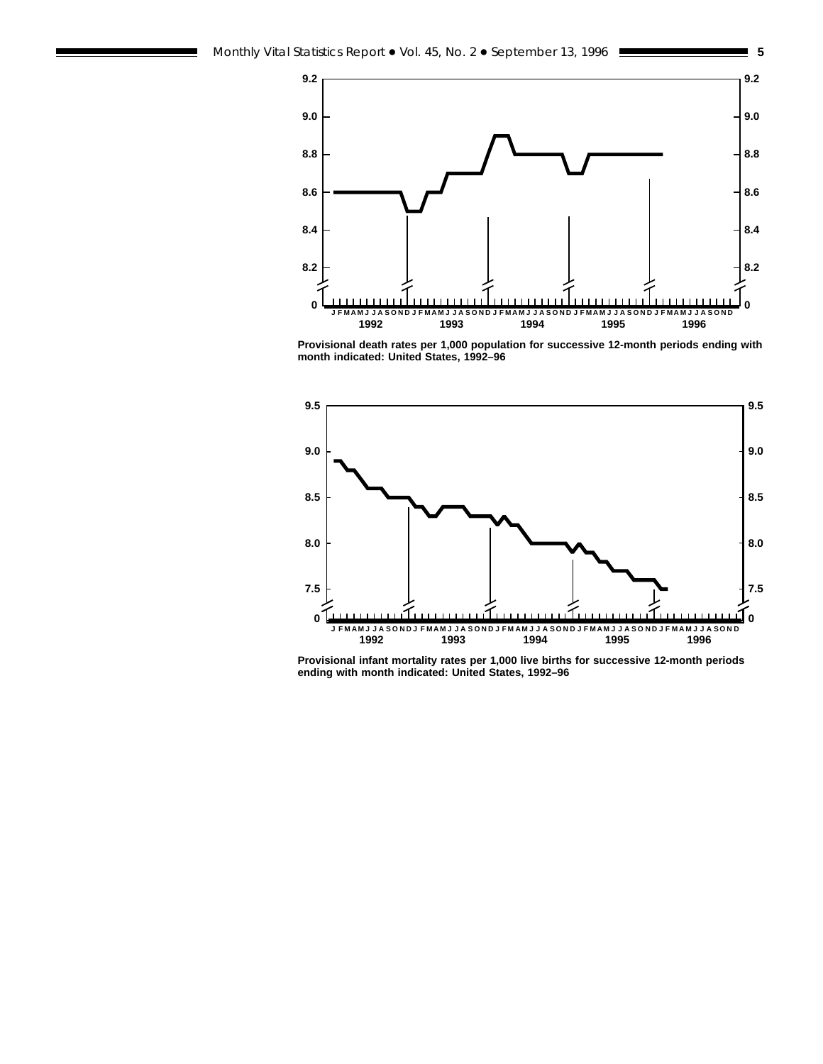



**Provisional death rates per 1,000 population for successive 12-month periods ending with month indicated: United States, 1992–96**



**Provisional infant mortality rates per 1,000 live births for successive 12-month periods ending with month indicated: United States, 1992–96**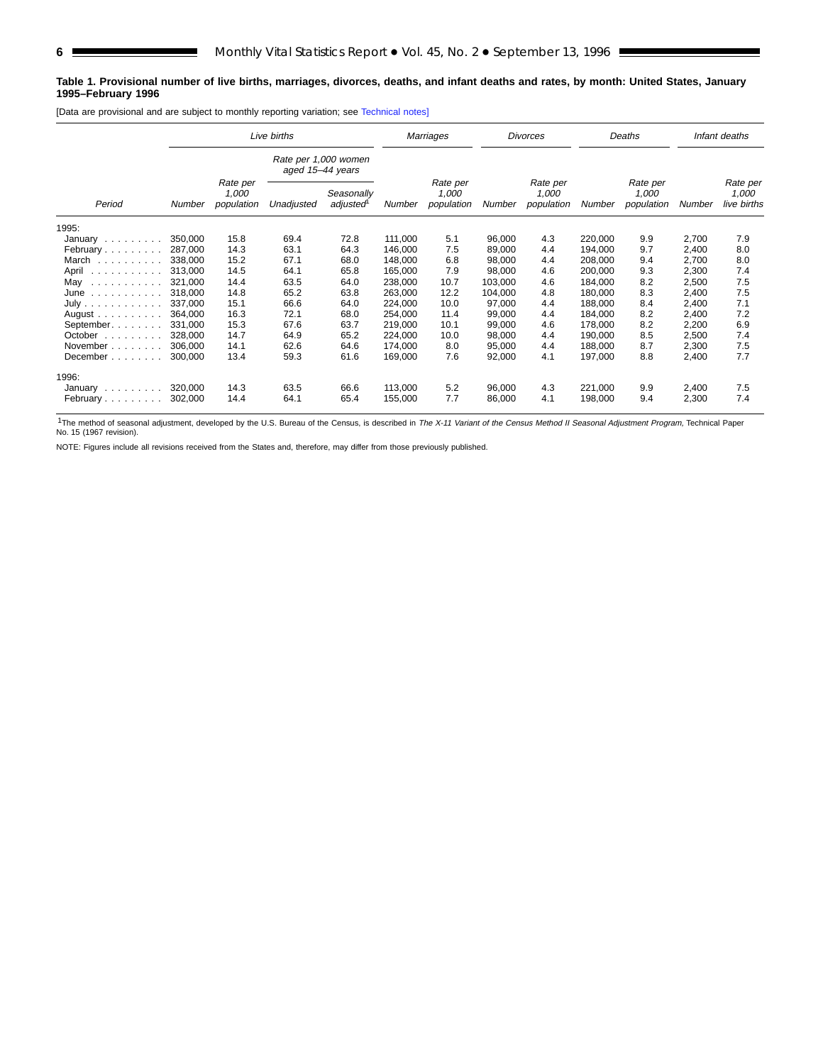#### **Table 1. Provisional number of live births, marriages, divorces, deaths, and infant deaths and rates, by month: United States, January 1995–February 1996**

[Data are provisional and are subject to monthly reporting variation; see [Technical notes\]](#page-16-0)

|                                       |         |                                 | Live births                              |                        |         | Marriages                       | <b>Divorces</b> |                                 | Deaths  |                                 | Infant deaths |                                  |
|---------------------------------------|---------|---------------------------------|------------------------------------------|------------------------|---------|---------------------------------|-----------------|---------------------------------|---------|---------------------------------|---------------|----------------------------------|
|                                       |         |                                 | Rate per 1,000 women<br>aged 15-44 years |                        |         |                                 |                 |                                 |         |                                 |               |                                  |
| Period                                | Number  | Rate per<br>1,000<br>population | Unadjusted                               | Seasonally<br>adjusted | Number  | Rate per<br>1,000<br>population | Number          | Rate per<br>1,000<br>population | Number  | Rate per<br>1.000<br>population | Number        | Rate per<br>1,000<br>live births |
| 1995:                                 |         |                                 |                                          |                        |         |                                 |                 |                                 |         |                                 |               |                                  |
| January                               | 350,000 | 15.8                            | 69.4                                     | 72.8                   | 111,000 | 5.1                             | 96,000          | 4.3                             | 220,000 | 9.9                             | 2,700         | 7.9                              |
| February                              | 287,000 | 14.3                            | 63.1                                     | 64.3                   | 146.000 | 7.5                             | 89,000          | 4.4                             | 194,000 | 9.7                             | 2,400         | 8.0                              |
| March                                 | 338,000 | 15.2                            | 67.1                                     | 68.0                   | 148,000 | 6.8                             | 98,000          | 4.4                             | 208,000 | 9.4                             | 2,700         | 8.0                              |
| April                                 | 313,000 | 14.5                            | 64.1                                     | 65.8                   | 165,000 | 7.9                             | 98,000          | 4.6                             | 200,000 | 9.3                             | 2,300         | 7.4                              |
| May                                   | 321,000 | 14.4                            | 63.5                                     | 64.0                   | 238,000 | 10.7                            | 103,000         | 4.6                             | 184,000 | 8.2                             | 2,500         | 7.5                              |
| June<br>.                             | 318,000 | 14.8                            | 65.2                                     | 63.8                   | 263,000 | 12.2                            | 104,000         | 4.8                             | 180,000 | 8.3                             | 2,400         | 7.5                              |
| July                                  | 337.000 | 15.1                            | 66.6                                     | 64.0                   | 224.000 | 10.0                            | 97,000          | 4.4                             | 188.000 | 8.4                             | 2,400         | 7.1                              |
| August $\ldots$ , $\ldots$ , $\ldots$ | 364,000 | 16.3                            | 72.1                                     | 68.0                   | 254,000 | 11.4                            | 99,000          | 4.4                             | 184,000 | 8.2                             | 2,400         | 7.2                              |
| September.                            | 331,000 | 15.3                            | 67.6                                     | 63.7                   | 219,000 | 10.1                            | 99,000          | 4.6                             | 178,000 | 8.2                             | 2,200         | 6.9                              |
| October                               | 328,000 | 14.7                            | 64.9                                     | 65.2                   | 224.000 | 10.0                            | 98,000          | 4.4                             | 190,000 | 8.5                             | 2,500         | 7.4                              |
| November                              | 306.000 | 14.1                            | 62.6                                     | 64.6                   | 174,000 | 8.0                             | 95,000          | 4.4                             | 188.000 | 8.7                             | 2,300         | 7.5                              |
| December                              | 300,000 | 13.4                            | 59.3                                     | 61.6                   | 169,000 | 7.6                             | 92,000          | 4.1                             | 197,000 | 8.8                             | 2,400         | 7.7                              |
| 1996:                                 |         |                                 |                                          |                        |         |                                 |                 |                                 |         |                                 |               |                                  |
| January                               | 320,000 | 14.3                            | 63.5                                     | 66.6                   | 113,000 | 5.2                             | 96,000          | 4.3                             | 221,000 | 9.9                             | 2,400         | 7.5                              |
| February                              | 302,000 | 14.4                            | 64.1                                     | 65.4                   | 155,000 | 7.7                             | 86,000          | 4.1                             | 198,000 | 9.4                             | 2,300         | 7.4                              |

<sup>1</sup>The method of seasonal adjustment, developed by the U.S. Bureau of the Census, is described in The X-11 Variant of the Census Method II Seasonal Adjustment Program, Technical Paper<br>No. 15 (1967 revision).

NOTE: Figures include all revisions received from the States and, therefore, may differ from those previously published.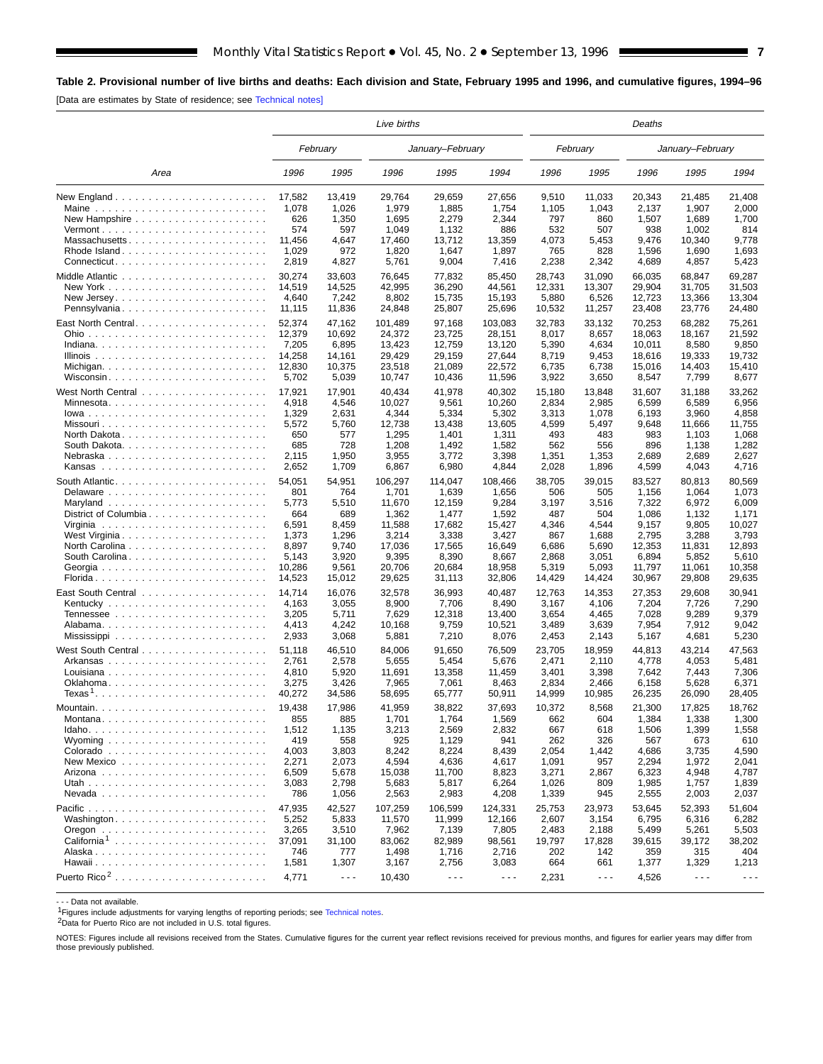<span id="page-6-0"></span>**Table 2. Provisional number of live births and deaths: Each division and State, February 1995 and 1996, and cumulative figures, 1994–96** [Data are estimates by State of residence; see [Technical notes\]](#page-16-0)

|                          |                  |                      | Live births      |                      |                      |                 |                      | Deaths           |                      |                      |  |
|--------------------------|------------------|----------------------|------------------|----------------------|----------------------|-----------------|----------------------|------------------|----------------------|----------------------|--|
|                          |                  | February             |                  | January-February     |                      |                 | February             | January-February |                      |                      |  |
| Area                     | 1996             | 1995                 | 1996             | 1995                 | 1994                 | 1996            | 1995                 | 1996             | 1995                 | 1994                 |  |
|                          | 17,582           | 13,419               | 29,764           | 29,659               | 27,656               | 9,510           | 11,033               | 20,343           | 21,485               | 21,408               |  |
| Maine                    | 1,078            | 1,026                | 1,979            | 1,885                | 1,754                | 1,105           | 1,043                | 2,137            | 1,907                | 2,000                |  |
|                          | 626              | 1,350                | 1,695            | 2,279                | 2,344                | 797             | 860                  | 1,507            | 1,689                | 1,700                |  |
|                          | 574              | 597                  | 1,049            | 1,132                | 886                  | 532             | 507                  | 938              | 1,002                | 814                  |  |
| Massachusetts            | 11,456           | 4,647                | 17,460           | 13,712               | 13,359               | 4,073           | 5,453                | 9,476            | 10,340               | 9,778                |  |
| Rhode Island             | 1,029            | 972                  | 1,820            | 1,647                | 1,897                | 765             | 828                  | 1,596            | 1,690                | 1,693                |  |
|                          | 2,819            | 4,827                | 5,761            | 9,004                | 7,416                | 2,238           | 2,342                | 4,689            | 4,857                | 5,423                |  |
|                          | 30,274           | 33.603               | 76.645           | 77,832               | 85,450               | 28,743          | 31,090               | 66,035           | 68,847               | 69,287               |  |
|                          | 14,519           | 14,525               | 42,995           | 36,290               | 44,561               | 12,331          | 13,307               | 29,904           | 31,705               | 31,503               |  |
|                          | 4,640<br>11,115  | 7,242<br>11,836      | 8,802<br>24,848  | 15,735               | 15,193<br>25,696     | 5,880<br>10,532 | 6,526<br>11,257      | 12,723<br>23,408 | 13,366               | 13,304               |  |
| Pennsylvania             |                  |                      |                  | 25,807               |                      |                 |                      |                  | 23,776               | 24,480               |  |
|                          | 52,374           | 47,162               | 101,489          | 97,168               | 103,083              | 32,783          | 33,132               | 70,253           | 68,282               | 75,261               |  |
|                          | 12,379           | 10,692               | 24,372           | 23,725               | 28,151               | 8,017           | 8,657                | 18,063           | 18,167               | 21,592               |  |
|                          | 7,205            | 6,895                | 13,423           | 12,759               | 13,120               | 5,390           | 4,634                | 10,011           | 8,580                | 9,850                |  |
|                          | 14,258<br>12,830 | 14,161<br>10,375     | 29,429<br>23,518 | 29,159<br>21,089     | 27,644<br>22,572     | 8,719           | 9,453                | 18,616<br>15,016 | 19,333<br>14,403     | 19,732<br>15,410     |  |
| Wisconsin                | 5,702            | 5,039                | 10,747           | 10,436               | 11,596               | 6,735<br>3,922  | 6,738<br>3,650       | 8,547            | 7,799                | 8,677                |  |
|                          |                  |                      |                  |                      |                      |                 |                      |                  |                      |                      |  |
|                          | 17,921           | 17,901               | 40,434           | 41,978               | 40,302               | 15,180          | 13,848               | 31,607           | 31,188               | 33,262               |  |
| Minnesota                | 4,918            | 4,546                | 10,027           | 9,561                | 10,260               | 2,834           | 2,985                | 6,599            | 6,589                | 6,956                |  |
| Missouri                 | 1,329<br>5,572   | 2,631<br>5,760       | 4,344<br>12,738  | 5,334<br>13,438      | 5,302<br>13,605      | 3,313<br>4,599  | 1,078<br>5,497       | 6,193<br>9,648   | 3,960<br>11,666      | 4,858<br>11,755      |  |
|                          | 650              | 577                  | 1,295            | 1,401                | 1,311                | 493             | 483                  | 983              | 1,103                | 1,068                |  |
| South Dakota             | 685              | 728                  | 1,208            | 1,492                | 1,582                | 562             | 556                  | 896              | 1,138                | 1,282                |  |
| Nebraska                 | 2,115            | 1,950                | 3,955            | 3,772                | 3,398                | 1,351           | 1,353                | 2,689            | 2,689                | 2,627                |  |
|                          | 2,652            | 1,709                | 6,867            | 6,980                | 4,844                | 2,028           | 1,896                | 4,599            | 4,043                | 4,716                |  |
|                          | 54,051           | 54.951               | 106,297          | 114.047              | 108,466              | 38,705          | 39,015               | 83,527           | 80,813               | 80,569               |  |
|                          | 801              | 764                  | 1,701            | 1,639                | 1,656                | 506             | 505                  | 1,156            | 1,064                | 1,073                |  |
|                          | 5,773            | 5,510                | 11,670           | 12,159               | 9,284                | 3,197           | 3,516                | 7,322            | 6,972                | 6,009                |  |
| District of Columbia     | 664              | 689                  | 1,362            | 1,477                | 1,592                | 487             | 504                  | 1,086            | 1,132                | 1,171                |  |
|                          | 6,591            | 8,459                | 11,588           | 17,682               | 15,427               | 4,346           | 4,544                | 9,157            | 9,805                | 10,027               |  |
| West Virginia            | 1,373            | 1,296                | 3,214            | 3,338                | 3,427                | 867             | 1,688                | 2,795            | 3,288                | 3,793                |  |
|                          | 8,897            | 9,740                | 17,036           | 17,565               | 16,649               | 6,686           | 5,690                | 12,353           | 11,831               | 12,893               |  |
| South Carolina           | 5,143            | 3,920                | 9,395            | 8,390                | 8,667                | 2,868           | 3,051                | 6,894            | 5,852                | 5,610                |  |
|                          | 10,286           | 9,561                | 20,706           | 20,684               | 18,958               | 5,319           | 5,093                | 11,797           | 11,061               | 10,358               |  |
|                          | 14,523           | 15,012               | 29,625           | 31,113               | 32,806               | 14,429          | 14,424               | 30,967           | 29,808               | 29,635               |  |
|                          | 14,714           | 16,076               | 32,578           | 36,993               | 40,487               | 12,763          | 14,353               | 27,353           | 29,608               | 30,941               |  |
|                          | 4,163            | 3,055                | 8,900            | 7,706                | 8,490                | 3,167           | 4,106                | 7,204            | 7,726                | 7,290                |  |
|                          | 3,205            | 5,711                | 7,629            | 12,318               | 13,400               | 3,654           | 4,465                | 7,028            | 9,289                | 9,379                |  |
|                          | 4,413            | 4,242                | 10,168           | 9,759                | 10,521               | 3,489           | 3,639                | 7,954            | 7,912                | 9,042                |  |
|                          | 2,933            | 3,068                | 5,881            | 7,210                | 8,076                | 2,453           | 2,143                | 5,167            | 4,681                | 5,230                |  |
|                          | 51,118           | 46.510               | 84,006           | 91,650               | 76,509               | 23,705          | 18,959               | 44,813           | 43,214               | 47,563               |  |
|                          | 2,761            | 2,578                | 5,655            | 5,454                | 5,676                | 2,471           | 2,110                | 4,778            | 4,053                | 5,481                |  |
| Louisiana                | 4,810            | 5,920                | 11,691           | 13,358               | 11,459               | 3,401           | 3,398                | 7,642            | 7,443                | 7,306                |  |
|                          | 3,275            | 3,426                | 7,965            | 7,061                | 8,463                | 2,834           | 2,466                | 6,158            | 5,628                | 6,371                |  |
|                          | 40,272           | 34,586               | 58,695           | 65,777               | 50,911               | 14,999          | 10,985               | 26,235           | 26,090               | 28,405               |  |
| Mountain.                | 19,438           | 17,986               | 41,959           | 38,822               | 37,693               | 10,372          | 8,568                | 21,300           | 17,825               | 18,762               |  |
| Montana                  | 855              | 885                  | 1,701            | 1,764                | 1,569                | 662             | 604                  | 1,384            | 1,338                | 1,300                |  |
| $Idaho.$                 | 1,512            | 1,135                | 3,213            | 2,569                | 2,832                | 667             | 618                  | 1,506            | 1,399                | 1,558                |  |
|                          | 419              | 558                  | 925              | 1,129                | 941                  | 262             | 326                  | 567              | 673                  | 610                  |  |
|                          | 4,003<br>2,271   | 3,803<br>2,073       | 8,242<br>4,594   | 8,224<br>4,636       | 8,439<br>4,617       | 2,054<br>1,091  | 1,442<br>957         | 4,686<br>2,294   | 3,735<br>1,972       | 4,590<br>2,041       |  |
|                          | 6,509            | 5,678                | 15,038           | 11,700               | 8,823                | 3,271           | 2,867                | 6,323            | 4,948                | 4,787                |  |
|                          | 3,083            | 2,798                | 5,683            | 5,817                | 6,264                | 1,026           | 809                  | 1,985            | 1,757                | 1,839                |  |
|                          | 786              | 1,056                | 2,563            | 2,983                | 4,208                | 1,339           | 945                  | 2,555            | 2,003                | 2,037                |  |
|                          | 47,935           | 42,527               | 107,259          | 106,599              | 124,331              | 25,753          | 23,973               | 53,645           | 52,393               | 51,604               |  |
|                          | 5,252            | 5,833                | 11,570           | 11,999               | 12,166               | 2,607           | 3,154                | 6,795            | 6,316                | 6,282                |  |
|                          | 3,265            | 3,510                | 7,962            | 7,139                | 7,805                | 2,483           | 2,188                | 5,499            | 5,261                | 5,503                |  |
| California <sup>1</sup>  | 37,091           | 31,100               | 83,062           | 82,989               | 98,561               | 19,797          | 17,828               | 39,615           | 39,172               | 38,202               |  |
|                          | 746              | 777                  | 1,498            | 1,716                | 2,716                | 202             | 142                  | 359              | 315                  | 404                  |  |
|                          | 1,581            | 1,307                | 3,167            | 2,756                | 3,083                | 664             | 661                  | 1,377            | 1,329                | 1,213                |  |
| Puerto Rico <sup>2</sup> | 4,771            | $\sim$ $\sim$ $\sim$ | 10,430           | $\sim$ $\sim$ $\sim$ | $\sim$ $\sim$ $\sim$ | 2,231           | $\sim$ $\sim$ $\sim$ | 4,526            | $\sim$ $\sim$ $\sim$ | $\sim$ $\sim$ $\sim$ |  |

- - - Data not available.

<sup>1</sup>Figures include adjustments for varying lengths of reporting periods; see [Technical notes.](#page-16-0)

2Data for Puerto Rico are not included in U.S. total figures.

NOTES: Figures include all revisions received from the States. Cumulative figures for the current year reflect revisions received for previous months, and figures for earlier years may differ from those previously published.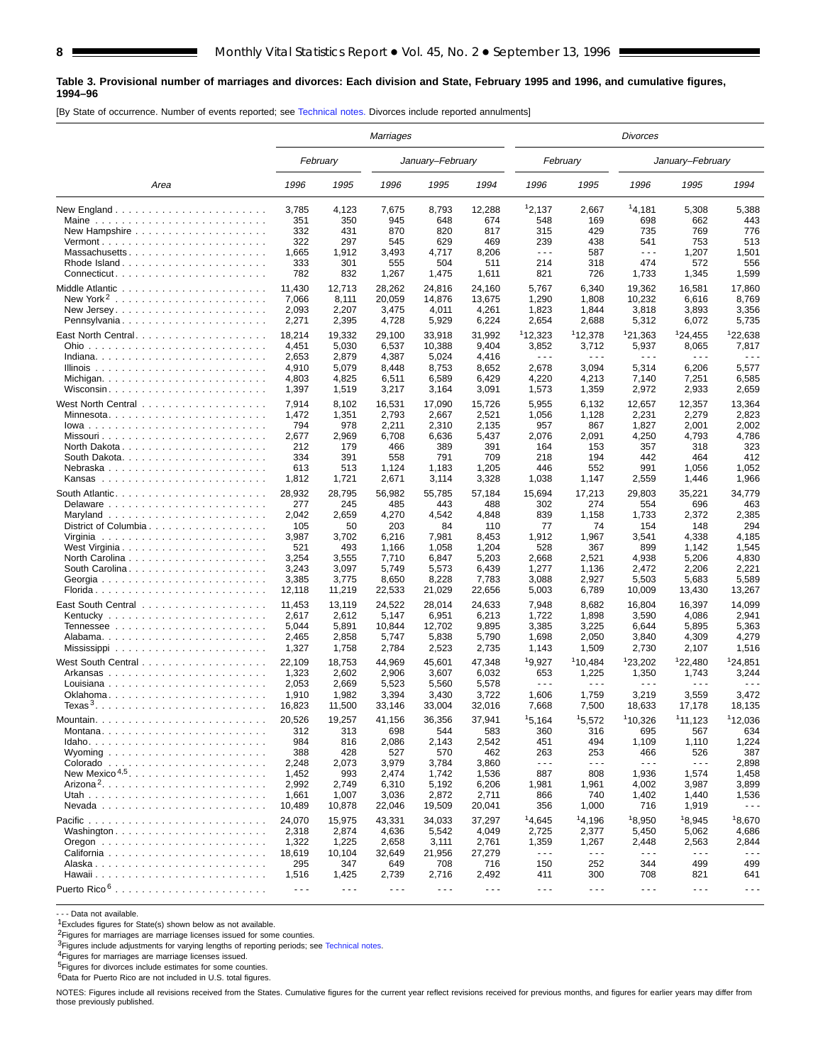#### **Table 3. Provisional number of marriages and divorces: Each division and State, February 1995 and 1996, and cumulative figures, 1994–96**

[By State of occurrence. Number of events reported; see [Technical notes.](#page-16-0) Divorces include reported annulments]

|                                                                         | Marriages            |                      |                                                                                                                                                                                                                                                                                                                                                                                              |                      |                      |                               |                               | Divorces             |                               |                      |
|-------------------------------------------------------------------------|----------------------|----------------------|----------------------------------------------------------------------------------------------------------------------------------------------------------------------------------------------------------------------------------------------------------------------------------------------------------------------------------------------------------------------------------------------|----------------------|----------------------|-------------------------------|-------------------------------|----------------------|-------------------------------|----------------------|
|                                                                         |                      | February             |                                                                                                                                                                                                                                                                                                                                                                                              | January-February     |                      |                               | February                      |                      | January-February              |                      |
| Area                                                                    | 1996                 | 1995                 | 1996                                                                                                                                                                                                                                                                                                                                                                                         | 1995                 | 1994                 | 1996                          | 1995                          | 1996                 | 1995                          | 1994                 |
|                                                                         | 3,785                | 4,123                | 7,675                                                                                                                                                                                                                                                                                                                                                                                        | 8,793                | 12,288               | 12,137                        | 2,667                         | 14,181               | 5,308                         | 5,388                |
| Maine                                                                   | 351                  | 350                  | 945                                                                                                                                                                                                                                                                                                                                                                                          | 648                  | 674                  | 548                           | 169                           | 698                  | 662                           | 443                  |
|                                                                         | 332                  | 431                  | 870                                                                                                                                                                                                                                                                                                                                                                                          | 820                  | 817                  | 315                           | 429                           | 735                  | 769                           | 776                  |
|                                                                         | 322                  | 297                  | 545                                                                                                                                                                                                                                                                                                                                                                                          | 629                  | 469                  | 239                           | 438                           | 541                  | 753                           | 513                  |
| Massachusetts                                                           | 1,665                | 1,912                | 3,493                                                                                                                                                                                                                                                                                                                                                                                        | 4,717                | 8,206                | $\sim$ $\sim$ $\sim$          | 587                           | $- - -$              | 1,207                         | 1,501                |
|                                                                         | 333                  | 301                  | 555                                                                                                                                                                                                                                                                                                                                                                                          | 504                  | 511                  | 214                           | 318                           | 474                  | 572                           | 556                  |
|                                                                         | 782                  | 832                  | 1,267                                                                                                                                                                                                                                                                                                                                                                                        | 1,475                | 1,611                | 821                           | 726                           | 1,733                | 1,345                         | 1,599                |
|                                                                         | 11,430               | 12,713               | 28,262                                                                                                                                                                                                                                                                                                                                                                                       | 24,816               | 24,160               | 5,767                         | 6,340                         | 19,362               | 16,581                        | 17,860               |
| New York <sup>2</sup>                                                   | 7,066                | 8,111                | 20,059                                                                                                                                                                                                                                                                                                                                                                                       | 14,876               | 13,675               | 1,290                         | 1,808                         | 10.232               | 6,616                         | 8,769                |
|                                                                         | 2,093                | 2,207                | 3,475                                                                                                                                                                                                                                                                                                                                                                                        | 4,011                | 4,261                | 1,823                         | 1,844                         | 3,818                | 3,893                         | 3,356                |
| Pennsylvania                                                            | 2,271                | 2,395                | 4,728                                                                                                                                                                                                                                                                                                                                                                                        | 5,929                | 6,224                | 2,654                         | 2,688                         | 5,312                | 6,072                         | 5,735                |
| East North Central                                                      | 18,214               | 19,332               | 29,100                                                                                                                                                                                                                                                                                                                                                                                       | 33,918               | 31,992               | 112,323                       | 112,378                       | 121,363              | <sup>1</sup> 24,455           | 122,638              |
|                                                                         | 4,451                | 5,030                | 6,537                                                                                                                                                                                                                                                                                                                                                                                        | 10,388               | 9,404                | 3,852                         | 3,712                         | 5,937                | 8,065                         | 7,817                |
|                                                                         | 2,653                | 2,879                | 4,387                                                                                                                                                                                                                                                                                                                                                                                        | 5,024                | 4,416                | $\sim$ $\sim$ $\sim$          | .                             | $\sim$ $\sim$ $\sim$ | $\sim$ $\sim$ $\sim$          | $\sim$ $\sim$ $\sim$ |
|                                                                         | 4,910                | 5,079                | 8,448                                                                                                                                                                                                                                                                                                                                                                                        | 8,753                | 8,652                | 2,678                         | 3,094                         | 5,314                | 6,206                         | 5,577                |
| Michigan                                                                | 4,803                | 4,825                | 6,511                                                                                                                                                                                                                                                                                                                                                                                        | 6,589                | 6,429                | 4,220                         | 4,213                         | 7,140                | 7,251                         | 6,585                |
| Wisconsin                                                               | 1,397                | 1,519                | 3,217                                                                                                                                                                                                                                                                                                                                                                                        | 3,164                | 3,091                | 1,573                         | 1,359                         | 2,972                | 2,933                         | 2,659                |
|                                                                         |                      |                      |                                                                                                                                                                                                                                                                                                                                                                                              |                      |                      |                               |                               |                      |                               |                      |
|                                                                         | 7,914                | 8,102                | 16,531                                                                                                                                                                                                                                                                                                                                                                                       | 17,090               | 15,726               | 5,955                         | 6,132                         | 12,657               | 12,357                        | 13,364               |
| Minnesota                                                               | 1,472                | 1,351                | 2,793                                                                                                                                                                                                                                                                                                                                                                                        | 2,667                | 2,521                | 1,056                         | 1,128                         | 2,231                | 2,279                         | 2,823                |
|                                                                         | 794                  | 978                  | 2,211                                                                                                                                                                                                                                                                                                                                                                                        | 2,310                | 2,135                | 957                           | 867                           | 1,827                | 2,001                         | 2,002                |
|                                                                         | 2,677                | 2,969                | 6,708                                                                                                                                                                                                                                                                                                                                                                                        | 6,636                | 5,437                | 2,076                         | 2,091                         | 4,250                | 4,793                         | 4,786                |
| North Dakota                                                            | 212                  | 179                  | 466                                                                                                                                                                                                                                                                                                                                                                                          | 389                  | 391                  | 164                           | 153                           | 357                  | 318                           | 323                  |
|                                                                         | 334                  | 391                  | 558                                                                                                                                                                                                                                                                                                                                                                                          | 791                  | 709                  | 218                           | 194                           | 442                  | 464                           | 412                  |
|                                                                         | 613                  | 513                  | 1,124                                                                                                                                                                                                                                                                                                                                                                                        | 1,183                | 1,205                | 446                           | 552                           | 991                  | 1,056                         | 1,052                |
|                                                                         | 1,812                | 1,721                | 2,671                                                                                                                                                                                                                                                                                                                                                                                        | 3,114                | 3,328                | 1,038                         | 1,147                         | 2,559                | 1,446                         | 1,966                |
|                                                                         | 28,932               | 28,795               | 56,982                                                                                                                                                                                                                                                                                                                                                                                       | 55,785               | 57,184               | 15,694                        | 17,213                        | 29,803               | 35,221                        | 34,779               |
|                                                                         | 277                  | 245                  | 485                                                                                                                                                                                                                                                                                                                                                                                          | 443                  | 488                  | 302                           | 274                           | 554                  | 696                           | 463                  |
|                                                                         | 2,042                | 2,659                | 4,270                                                                                                                                                                                                                                                                                                                                                                                        | 4,542                | 4,848                | 839                           | 1,158                         | 1,733                | 2,372                         | 2,385                |
| District of Columbia                                                    | 105                  | 50                   | 203                                                                                                                                                                                                                                                                                                                                                                                          | 84                   | 110                  | 77                            | 74                            | 154                  | 148                           | 294                  |
|                                                                         | 3,987                | 3,702                | 6,216                                                                                                                                                                                                                                                                                                                                                                                        | 7,981                | 8,453                | 1,912                         | 1,967                         | 3,541                | 4,338                         | 4,185                |
| West Virginia                                                           | 521                  | 493                  | 1,166                                                                                                                                                                                                                                                                                                                                                                                        | 1,058                | 1,204                | 528                           | 367                           | 899                  | 1,142                         | 1,545                |
|                                                                         | 3,254                | 3,555                | 7,710                                                                                                                                                                                                                                                                                                                                                                                        | 6,847                | 5,203                | 2,668                         | 2,521                         | 4,938                | 5,206                         | 4,830                |
|                                                                         | 3,243                | 3,097                | 5,749                                                                                                                                                                                                                                                                                                                                                                                        | 5,573                | 6,439                | 1,277                         | 1,136                         | 2,472                | 2,206                         | 2,221                |
|                                                                         | 3,385                | 3,775                | 8,650                                                                                                                                                                                                                                                                                                                                                                                        | 8,228                | 7,783                | 3,088                         | 2,927                         | 5,503                | 5,683                         | 5,589                |
|                                                                         | 12,118               | 11,219               | 22,533                                                                                                                                                                                                                                                                                                                                                                                       | 21,029               | 22,656               | 5,003                         | 6,789                         | 10,009               | 13,430                        | 13,267               |
|                                                                         | 11,453               | 13,119               | 24,522                                                                                                                                                                                                                                                                                                                                                                                       | 28,014               | 24,633               | 7,948                         | 8,682                         | 16,804               | 16,397                        | 14,099               |
|                                                                         | 2,617                | 2,612                | 5,147                                                                                                                                                                                                                                                                                                                                                                                        | 6,951                | 6,213                | 1,722                         | 1,898                         | 3,590                | 4,086                         | 2,941                |
|                                                                         | 5,044                | 5,891                | 10,844                                                                                                                                                                                                                                                                                                                                                                                       | 12,702               | 9,895                | 3,385                         | 3,225                         | 6,644                | 5,895                         | 5,363                |
|                                                                         | 2,465                | 2,858                | 5,747                                                                                                                                                                                                                                                                                                                                                                                        | 5,838                | 5,790                | 1,698                         | 2,050                         | 3,840                | 4,309                         | 4,279                |
|                                                                         | 1,327                | 1,758                | 2,784                                                                                                                                                                                                                                                                                                                                                                                        | 2,523                | 2,735                | 1,143                         | 1,509                         | 2,730                | 2,107                         | 1,516                |
|                                                                         |                      |                      |                                                                                                                                                                                                                                                                                                                                                                                              |                      |                      |                               |                               |                      |                               |                      |
|                                                                         | 22,109               | 18,753               | 44,969                                                                                                                                                                                                                                                                                                                                                                                       | 45,601               | 47,348               | 19,927                        | 110,484                       | 123,202              | 122,480                       | 124,851              |
| Arkansas                                                                | 1,323                | 2,602                | 2,906                                                                                                                                                                                                                                                                                                                                                                                        | 3,607                | 6,032                | 653                           | 1,225                         | 1,350                | 1,743                         | 3,244                |
|                                                                         | 2,053                | 2,669                | 5,523                                                                                                                                                                                                                                                                                                                                                                                        | 5,560                | 5,578                | $\sim$ $\sim$ $\sim$          | .                             | .                    | $\sim$ $\sim$ $\sim$          | $\sim$ $\sim$ $\sim$ |
|                                                                         | 1,910                | 1,982                | 3,394                                                                                                                                                                                                                                                                                                                                                                                        | 3,430                | 3,722                | 1,606                         | 1,759                         | 3,219                | 3,559                         | 3,472                |
|                                                                         | 16,823               | 11,500               | 33,146                                                                                                                                                                                                                                                                                                                                                                                       | 33,004               | 32,016               | 7,668                         | 7,500                         | 18,633               | 17,178                        | 18,135               |
|                                                                         | 20,526               | 19,257               | 41,156                                                                                                                                                                                                                                                                                                                                                                                       | 36,356               | 37,941               | 15,164                        | 15,572                        | 110,326              | 111,123                       | 112,036              |
| Montana                                                                 | 312                  | 313                  | 698                                                                                                                                                                                                                                                                                                                                                                                          | 544                  | 583                  | 360                           | 316                           | 695                  | 567                           | 634                  |
|                                                                         | 984                  | 816                  | 2,086                                                                                                                                                                                                                                                                                                                                                                                        | 2,143                | 2,542                | 451                           | 494                           | 1,109                | 1,110                         | 1,224                |
|                                                                         | 388                  | 428                  | 527                                                                                                                                                                                                                                                                                                                                                                                          | 570                  | 462                  | 263                           | 253                           | 466                  | 526                           | 387                  |
|                                                                         | 2,248                | 2,073                | 3,979                                                                                                                                                                                                                                                                                                                                                                                        | 3,784                | 3,860                | $\sim$ $\sim$ $\sim$          | $\sim$ $\sim$ $\sim$          | $  -$                | $\sim$ $\sim$ $\sim$          | 2,898                |
|                                                                         | 1,452                | 993                  | 2,474                                                                                                                                                                                                                                                                                                                                                                                        | 1,742                | 1,536                | 887                           | 808                           | 1,936                | 1,574                         | 1,458                |
|                                                                         | 2,992                | 2,749                | 6,310                                                                                                                                                                                                                                                                                                                                                                                        | 5,192                | 6,206                | 1,981                         | 1,961                         | 4,002                | 3,987                         | 3,899                |
|                                                                         | 1,661                | 1,007                | 3,036                                                                                                                                                                                                                                                                                                                                                                                        | 2,872                | 2,711                | 866                           | 740                           | 1,402                | 1,440                         | 1,536                |
|                                                                         | 10,489               | 10,878               | 22,046                                                                                                                                                                                                                                                                                                                                                                                       | 19,509               | 20,041               | 356                           | 1,000                         | 716                  | 1,919                         | $\sim$ $\sim$ $\sim$ |
|                                                                         | 24,070               | 15,975               | 43,331                                                                                                                                                                                                                                                                                                                                                                                       | 34,033               | 37,297               | 14,645                        | 14,196                        | 18,950               | <sup>1</sup> 8,945            | 18,670               |
| Washington                                                              | 2,318                | 2,874                | 4,636                                                                                                                                                                                                                                                                                                                                                                                        | 5,542                | 4,049                | 2,725                         | 2,377                         | 5,450                | 5,062                         | 4,686                |
|                                                                         |                      |                      |                                                                                                                                                                                                                                                                                                                                                                                              |                      |                      |                               |                               |                      |                               |                      |
|                                                                         | 1,322                | 1,225                | 2,658                                                                                                                                                                                                                                                                                                                                                                                        | 3,111                | 2,761                | 1,359<br>$\sim$ $\sim$ $\sim$ | 1,267<br>$\sim$ $\sim$ $\sim$ | 2,448<br>- - -       | 2,563<br>$\sim$ $\sim$ $\sim$ | 2,844<br>$- - -$     |
|                                                                         | 18,619               | 10,104               | 32,649                                                                                                                                                                                                                                                                                                                                                                                       | 21,956               | 27,279               | 150                           | 252                           | 344                  | 499                           | 499                  |
|                                                                         | 295<br>1,516         | 347<br>1,425         | 649                                                                                                                                                                                                                                                                                                                                                                                          | 708                  | 716                  | 411                           | 300                           | 708                  | 821                           | 641                  |
|                                                                         |                      |                      | 2,739                                                                                                                                                                                                                                                                                                                                                                                        | 2,716                | 2,492                |                               |                               |                      |                               |                      |
| Puerto Rico $6 \ldots \ldots \ldots \ldots \ldots \ldots \ldots \ldots$ | $\sim$ $\sim$ $\sim$ | $\sim$ $\sim$ $\sim$ | $\frac{1}{2} \frac{1}{2} \frac{1}{2} \frac{1}{2} \frac{1}{2} \frac{1}{2} \frac{1}{2} \frac{1}{2} \frac{1}{2} \frac{1}{2} \frac{1}{2} \frac{1}{2} \frac{1}{2} \frac{1}{2} \frac{1}{2} \frac{1}{2} \frac{1}{2} \frac{1}{2} \frac{1}{2} \frac{1}{2} \frac{1}{2} \frac{1}{2} \frac{1}{2} \frac{1}{2} \frac{1}{2} \frac{1}{2} \frac{1}{2} \frac{1}{2} \frac{1}{2} \frac{1}{2} \frac{1}{2} \frac{$ | $\sim$ $\sim$ $\sim$ | $\sim$ $\sim$ $\sim$ | $\sim$ $\sim$ $\sim$          | $\sim$ $\sim$ $\sim$          | $\sim$ $\sim$ $\sim$ | $\sim$ $\sim$ $\sim$          | $\sim$ $\sim$ $\sim$ |

- - - Data not available.

 $1$ Excludes figures for State(s) shown below as not available.

2Figures for marriages are marriage licenses issued for some counties.

<sup>3</sup>Figures include adjustments for varying lengths of reporting periods; see [Technical notes.](#page-16-0)<br><sup>4</sup>Figures for marriages are marriage licenses issued.

5Figures for divorces include estimates for some counties.

6Data for Puerto Rico are not included in U.S. total figures.

NOTES: Figures include all revisions received from the States. Cumulative figures for the current year reflect revisions received for previous months, and figures for earlier years may differ from those previously published.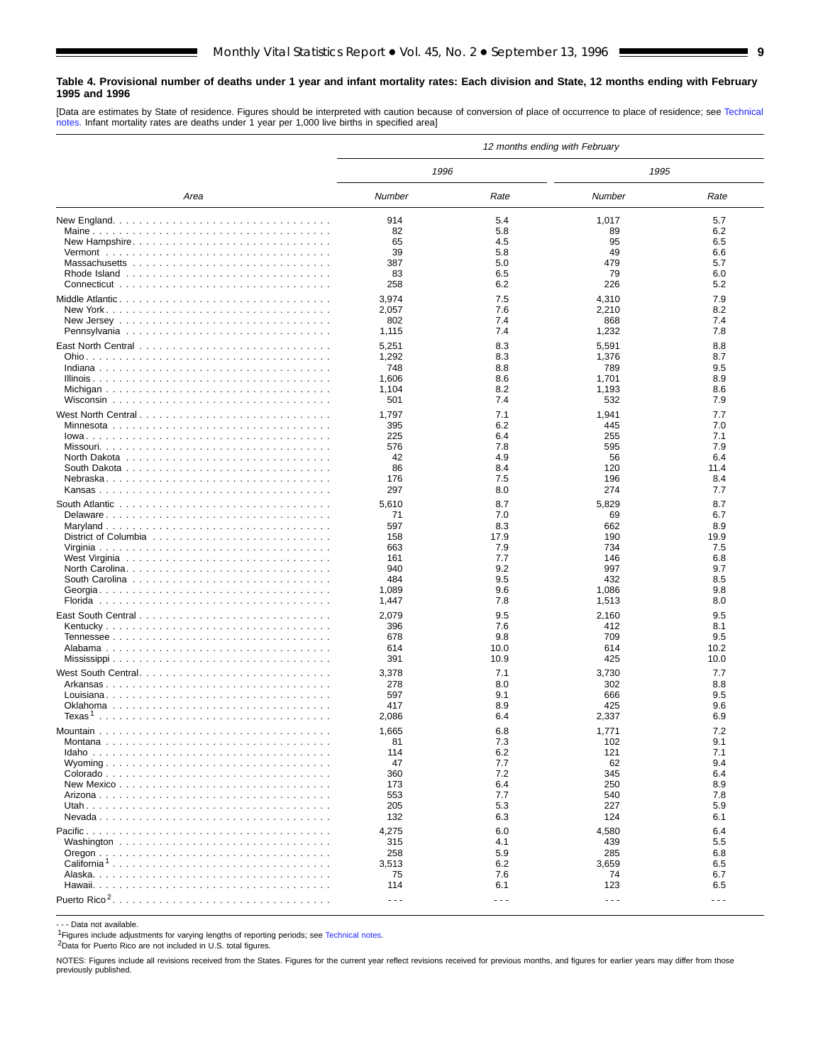#### <span id="page-8-0"></span>**Table 4. Provisional number of deaths under 1 year and infant mortality rates: Each division and State, 12 months ending with February 1995 and 1996**

[Data are estimates by State of residence. Figures should be interpreted with caution because of conversion of place of occurrence to place of residence; see [Technical](#page-16-0) [notes.](#page-16-0) Infant mortality rates are deaths under 1 year per 1,000 live births in specified area]

|                         | 12 months ending with February |            |                      |            |  |  |  |  |  |  |
|-------------------------|--------------------------------|------------|----------------------|------------|--|--|--|--|--|--|
|                         | 1996                           |            | 1995                 |            |  |  |  |  |  |  |
| Area                    | Number                         | Rate       | Number               | Rate       |  |  |  |  |  |  |
|                         | 914                            | 5.4        | 1,017                | 5.7        |  |  |  |  |  |  |
|                         | 82                             | 5.8        | 89                   | 6.2        |  |  |  |  |  |  |
| New Hampshire           | 65                             | 4.5        | 95                   | 6.5        |  |  |  |  |  |  |
|                         | 39                             | 5.8        | 49                   | 6.6        |  |  |  |  |  |  |
|                         | 387                            | 5.0        | 479                  | 5.7        |  |  |  |  |  |  |
|                         | 83                             | 6.5        | 79                   | 6.0        |  |  |  |  |  |  |
|                         | 258                            | 6.2        | 226                  | 5.2        |  |  |  |  |  |  |
|                         | 3,974                          | 7.5        | 4,310                | 7.9        |  |  |  |  |  |  |
|                         | 2,057                          | 7.6        | 2,210                | 8.2        |  |  |  |  |  |  |
|                         | 802                            | 7.4        | 868                  | 7.4        |  |  |  |  |  |  |
|                         | 1,115                          | 7.4        | 1,232                | 7.8        |  |  |  |  |  |  |
|                         | 5,251                          | 8.3        | 5,591                | 8.8        |  |  |  |  |  |  |
|                         | 1,292                          | 8.3        | 1,376                | 8.7        |  |  |  |  |  |  |
|                         | 748                            | 8.8        | 789                  | 9.5        |  |  |  |  |  |  |
|                         | 1,606<br>1,104                 | 8.6<br>8.2 | 1,701<br>1,193       | 8.9<br>8.6 |  |  |  |  |  |  |
|                         | 501                            | 7.4        | 532                  | 7.9        |  |  |  |  |  |  |
|                         |                                |            |                      |            |  |  |  |  |  |  |
|                         | 1,797<br>395                   | 7.1<br>6.2 | 1,941                | 7.7<br>7.0 |  |  |  |  |  |  |
|                         | 225                            | 6.4        | 445<br>255           | 7.1        |  |  |  |  |  |  |
|                         | 576                            | 7.8        | 595                  | 7.9        |  |  |  |  |  |  |
|                         | 42                             | 4.9        | 56                   | 6.4        |  |  |  |  |  |  |
|                         | 86                             | 8.4        | 120                  | 11.4       |  |  |  |  |  |  |
|                         | 176                            | 7.5        | 196                  | 8.4        |  |  |  |  |  |  |
|                         | 297                            | 8.0        | 274                  | 7.7        |  |  |  |  |  |  |
|                         | 5,610                          | 8.7        | 5,829                | 8.7        |  |  |  |  |  |  |
|                         | 71                             | 7.0        | 69                   | 6.7        |  |  |  |  |  |  |
|                         | 597                            | 8.3        | 662                  | 8.9        |  |  |  |  |  |  |
|                         | 158                            | 17.9       | 190                  | 19.9       |  |  |  |  |  |  |
|                         | 663                            | 7.9        | 734                  | 7.5        |  |  |  |  |  |  |
|                         | 161                            | 7.7        | 146                  | 6.8        |  |  |  |  |  |  |
|                         | 940                            | 9.2        | 997                  | 9.7        |  |  |  |  |  |  |
|                         | 484<br>1,089                   | 9.5        | 432                  | 8.5<br>9.8 |  |  |  |  |  |  |
|                         | 1,447                          | 9.6<br>7.8 | 1,086<br>1,513       | 8.0        |  |  |  |  |  |  |
|                         |                                |            |                      |            |  |  |  |  |  |  |
|                         | 2,079                          | 9.5        | 2,160                | 9.5        |  |  |  |  |  |  |
|                         | 396<br>678                     | 7.6<br>9.8 | 412<br>709           | 8.1<br>9.5 |  |  |  |  |  |  |
|                         | 614                            | 10.0       | 614                  | 10.2       |  |  |  |  |  |  |
|                         | 391                            | 10.9       | 425                  | 10.0       |  |  |  |  |  |  |
|                         | 3,378                          | 7.1        | 3,730                | 7.7        |  |  |  |  |  |  |
|                         | 278                            | 8.0        | 302                  | 8.8        |  |  |  |  |  |  |
|                         | 597                            | 9.1        | 666                  | 9.5        |  |  |  |  |  |  |
|                         | 417                            | 8.9        | 425                  | 9.6        |  |  |  |  |  |  |
|                         | 2,086                          | 6.4        | 2,337                | 6.9        |  |  |  |  |  |  |
|                         | 1,665                          | 6.8        | 1,771                | 7.2        |  |  |  |  |  |  |
| Montana                 | 81                             | 7.3        | 102                  | 9.1        |  |  |  |  |  |  |
|                         | 114                            | 6.2        | 121                  | 7.1        |  |  |  |  |  |  |
|                         | 47                             | 7.7        | 62                   | 9.4        |  |  |  |  |  |  |
|                         | 360                            | 7.2        | 345                  | 6.4        |  |  |  |  |  |  |
|                         | 173                            | 6.4        | 250                  | 8.9        |  |  |  |  |  |  |
|                         | 553                            | 7.7        | 540                  | 7.8        |  |  |  |  |  |  |
|                         | 205                            | 5.3        | 227                  | 5.9        |  |  |  |  |  |  |
|                         | 132                            | 6.3        | 124                  | 6.1        |  |  |  |  |  |  |
|                         | 4,275                          | 6.0        | 4,580                | 6.4        |  |  |  |  |  |  |
|                         | 315                            | 4.1        | 439                  | 5.5        |  |  |  |  |  |  |
| California <sup>1</sup> | 258<br>3,513                   | 5.9<br>6.2 | 285<br>3,659         | 6.8<br>6.5 |  |  |  |  |  |  |
|                         | 75                             | 7.6        | 74                   | 6.7        |  |  |  |  |  |  |
|                         | 114                            | 6.1        | 123                  | 6.5        |  |  |  |  |  |  |
|                         | $\sim$ $\sim$ $\sim$           | - - -      | $\sim$ $\sim$ $\sim$ | $- - -$    |  |  |  |  |  |  |
|                         |                                |            |                      |            |  |  |  |  |  |  |

- - - Data not available.

1Figures include adjustments for varying lengths of reporting periods; see [Technical notes.](#page-16-0)

2Data for Puerto Rico are not included in U.S. total figures.

NOTES: Figures include all revisions received from the States. Figures for the current year reflect revisions received for previous months, and figures for earlier years may differ from those previously published.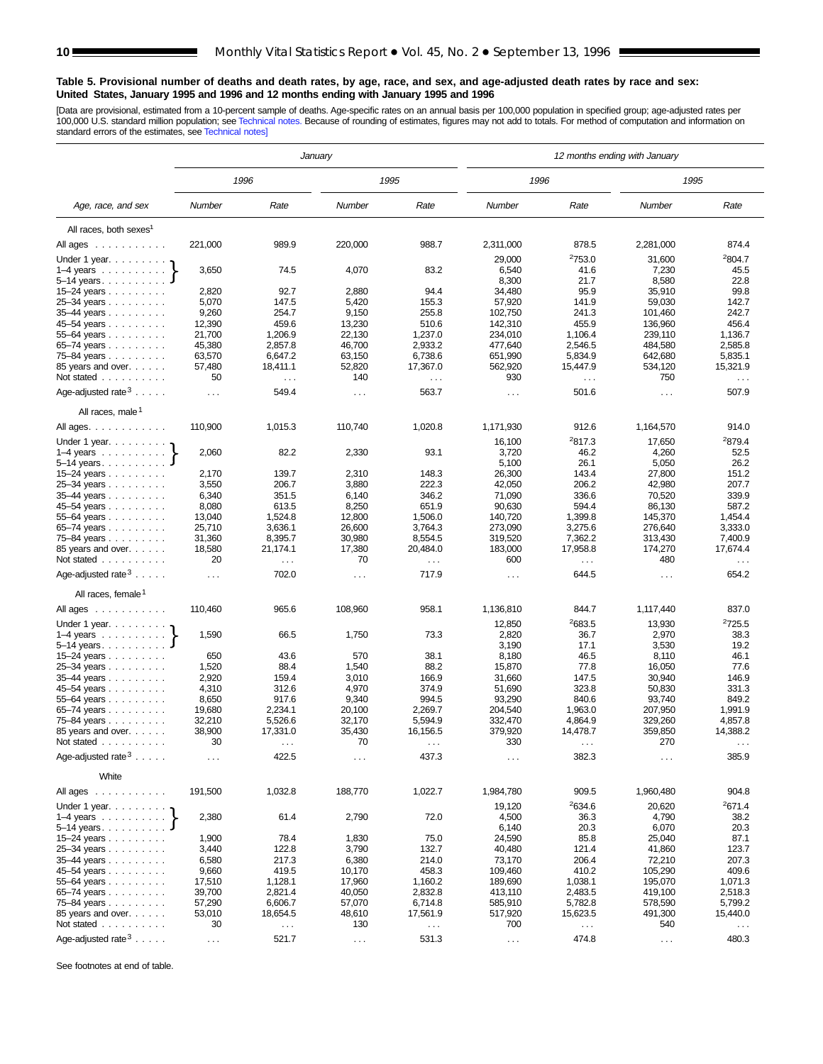#### <span id="page-9-0"></span>**Table 5. Provisional number of deaths and death rates, by age, race, and sex, and age-adjusted death rates by race and sex: United States, January 1995 and 1996 and 12 months ending with January 1995 and 1996**

[Data are provisional, estimated from a 10-percent sample of deaths. Age-specific rates on an annual basis per 100,000 population in specified group; age-adjusted rates per<br>100,000 U.S. standard million population; see Tec

|                                          | January              |                      |                                 | 12 months ending with January |                     |                      |                      |                      |  |  |
|------------------------------------------|----------------------|----------------------|---------------------------------|-------------------------------|---------------------|----------------------|----------------------|----------------------|--|--|
|                                          |                      | 1996                 |                                 | 1995                          | 1996                |                      | 1995                 |                      |  |  |
| Age, race, and sex                       | Number               | Rate                 | Number                          | Rate                          | Number              | Rate                 | Number               | Rate                 |  |  |
| All races, both sexes <sup>1</sup>       |                      |                      |                                 |                               |                     |                      |                      |                      |  |  |
| All ages                                 | 221,000              | 989.9                | 220,000                         | 988.7                         | 2,311,000           | 878.5                | 2,281,000            | 874.4                |  |  |
| Under 1 year. $\ldots$                   |                      |                      |                                 |                               | 29,000              | <sup>2</sup> 753.0   | 31,600               | 2804.7               |  |  |
| $1-4$ years $\ldots$ $\ldots$ $\ldots$ . | 3,650                | 74.5                 | 4,070                           | 83.2                          | 6,540               | 41.6                 | 7,230                | 45.5                 |  |  |
| $5-14$ years.                            |                      |                      |                                 |                               | 8,300               | 21.7                 | 8,580                | 22.8                 |  |  |
| 15-24 years                              | 2,820                | 92.7                 | 2,880                           | 94.4                          | 34,480              | 95.9                 | 35,910               | 99.8                 |  |  |
| 25-34 years                              | 5,070                | 147.5                | 5,420                           | 155.3                         | 57,920              | 141.9                | 59,030               | 142.7                |  |  |
| 35-44 years                              | 9,260                | 254.7                | 9,150                           | 255.8                         | 102,750             | 241.3                | 101,460              | 242.7                |  |  |
| 45-54 years                              | 12,390               | 459.6                | 13,230                          | 510.6                         | 142,310             | 455.9                | 136,960              | 456.4                |  |  |
| 55–64 years                              | 21,700               | 1,206.9              | 22,130                          | 1,237.0                       | 234,010             | 1,106.4              | 239,110              | 1,136.7              |  |  |
| 65-74 years                              | 45,380               | 2,857.8              | 46,700                          | 2,933.2                       | 477,640             | 2,546.5              | 484,580              | 2,585.8              |  |  |
| 75-84 years                              | 63,570               | 6,647.2              | 63,150                          | 6,738.6                       | 651,990             | 5,834.9              | 642,680              | 5,835.1              |  |  |
| 85 years and over.                       | 57,480               | 18,411.1             | 52,820                          | 17,367.0                      | 562,920             | 15,447.9             | 534,120              | 15,321.9             |  |  |
| Not stated                               | 50                   | $\sim$ .             | 140                             | $\ddotsc$                     | 930                 | $\sim$ $\sim$ $\sim$ | 750                  | $\sim$ $\sim$        |  |  |
| Age-adjusted rate $3 \ldots$ .           | $\cdots$             | 549.4                | $\sim$                          | 563.7                         | $\sim$ $\sim$       | 501.6                | $\sim$ $\sim$ $\sim$ | 507.9                |  |  |
| All races, male <sup>1</sup>             |                      |                      |                                 |                               |                     |                      |                      |                      |  |  |
| All ages.<br>Under 1 year.               | 110,900              | 1,015.3              | 110,740                         | 1,020.8                       | 1,171,930<br>16,100 | 912.6<br>2817.3      | 1,164,570<br>17,650  | 914.0<br>2879.4      |  |  |
| $1-4$ years                              | 2,060                | 82.2                 | 2,330                           | 93.1                          | 3,720               | 46.2                 | 4,260                | 52.5                 |  |  |
| $5 - 14$ years.                          |                      |                      |                                 |                               | 5,100               | 26.1                 | 5,050                | 26.2                 |  |  |
| 15-24 years                              | 2,170                | 139.7                | 2,310                           | 148.3                         | 26,300              | 143.4                | 27,800               | 151.2                |  |  |
| 25-34 years                              | 3,550                | 206.7                | 3,880                           | 222.3                         | 42,050              | 206.2                | 42,980               | 207.7                |  |  |
| 35-44 years                              | 6,340                | 351.5                | 6,140                           | 346.2                         | 71,090              | 336.6                | 70,520               | 339.9                |  |  |
| 45-54 years                              | 8,080                | 613.5                | 8,250                           | 651.9                         | 90,630              | 594.4                | 86,130               | 587.2                |  |  |
| 55-64 years                              | 13,040               | 1,524.8              | 12,800                          | 1,506.0                       | 140,720             | 1,399.8              | 145,370              | 1,454.4              |  |  |
| 65-74 years                              | 25,710               | 3,636.1              | 26,600                          | 3,764.3                       | 273,090             | 3,275.6              | 276,640              | 3,333.0              |  |  |
| 75-84 years                              | 31,360               | 8,395.7              | 30,980                          | 8,554.5                       | 319,520             | 7,362.2              | 313,430              | 7,400.9              |  |  |
| 85 years and over.                       | 18,580               | 21,174.1             | 17,380                          | 20,484.0                      | 183,000             | 17,958.8             | 174,270              | 17,674.4             |  |  |
| Not stated                               | 20                   | $\sim$ $\sim$ $\sim$ | 70                              | $\sim$ $\sim$ $\sim$          | 600                 | $\sim$ $\sim$        | 480                  | $\sim$ $\sim$ $\sim$ |  |  |
| Age-adjusted rate $3 \ldots$ .           | $\sim 10$            | 702.0                | $\cdots$                        | 717.9                         | $\cdots$            | 644.5                | $\sim$ $\sim$ $\sim$ | 654.2                |  |  |
| All races, female <sup>1</sup>           |                      |                      |                                 |                               |                     |                      |                      |                      |  |  |
| All ages                                 | 110,460              | 965.6                | 108,960                         | 958.1                         | 1,136,810           | 844.7                | 1,117,440            | 837.0                |  |  |
| Under 1 year.                            |                      |                      |                                 |                               | 12,850              | <sup>2</sup> 683.5   | 13,930               | 2725.5               |  |  |
| $1-4$ years                              | 1,590                | 66.5                 | 1,750                           | 73.3                          | 2,820               | 36.7                 | 2,970                | 38.3                 |  |  |
| $5-14$ years.                            |                      |                      |                                 |                               | 3,190               | 17.1                 | 3,530                | 19.2                 |  |  |
| 15-24 years                              | 650                  | 43.6                 | 570                             | 38.1                          | 8,180               | 46.5                 | 8,110                | 46.1                 |  |  |
| 25-34 years                              | 1,520                | 88.4                 | 1,540                           | 88.2                          | 15,870              | 77.8                 | 16,050               | 77.6                 |  |  |
| 35-44 years                              | 2,920                | 159.4                | 3,010                           | 166.9                         | 31,660              | 147.5                | 30,940               | 146.9                |  |  |
| 45-54 years                              | 4,310                | 312.6                | 4,970                           | 374.9                         | 51,690              | 323.8                | 50,830               | 331.3                |  |  |
| 55-64 years                              | 8,650<br>19,680      | 917.6<br>2,234.1     | 9,340<br>20,100                 | 994.5<br>2,269.7              | 93,290<br>204,540   | 840.6<br>1,963.0     | 93,740<br>207,950    | 849.2<br>1,991.9     |  |  |
| 65-74 years<br>75-84 years               | 32,210               | 5,526.6              | 32,170                          | 5,594.9                       | 332,470             | 4,864.9              | 329,260              | 4,857.8              |  |  |
| 85 years and over.                       | 38,900               | 17,331.0             | 35,430                          | 16,156.5                      | 379,920             | 14,478.7             | 359,850              | 14,388.2             |  |  |
| Not stated                               | 30                   |                      | 70                              |                               | 330                 |                      | 270                  |                      |  |  |
| Age-adjusted rate $3 \ldots$ .           |                      | 422.5                | .                               | 437.3                         | $\sim$ $\sim$       | 382.3                | $\sim$ $\sim$ $\sim$ | 385.9                |  |  |
| White                                    |                      |                      |                                 |                               |                     |                      |                      |                      |  |  |
| All ages                                 | 191,500              | 1,032.8              | 188,770                         | 1,022.7                       | 1,984,780           | 909.5                | 1,960,480            | 904.8                |  |  |
|                                          |                      |                      |                                 |                               | 19,120              | 2634.6               | 20,620               | 2671.4               |  |  |
| $1-4$ years                              | 2,380                | 61.4                 | 2,790                           | 72.0                          | 4,500               | 36.3                 | 4,790                | 38.2                 |  |  |
| $5 - 14$ years.<br>15–24 years $\ldots$  | 1,900                | 78.4                 | 1,830                           | 75.0                          | 6,140<br>24,590     | 20.3<br>85.8         | 6,070<br>25,040      | 20.3<br>87.1         |  |  |
| 25-34 years                              | 3,440                | 122.8                | 3,790                           | 132.7                         | 40,480              | 121.4                | 41,860               | 123.7                |  |  |
| 35-44 years                              | 6,580                | 217.3                | 6,380                           | 214.0                         | 73,170              | 206.4                | 72,210               | 207.3                |  |  |
| 45-54 years                              | 9,660                | 419.5                | 10,170                          | 458.3                         | 109,460             | 410.2                | 105,290              | 409.6                |  |  |
| 55-64 years                              | 17,510               | 1,128.1              | 17,960                          | 1,160.2                       | 189,690             | 1,038.1              | 195,070              | 1,071.3              |  |  |
| 65–74 years $\ldots$                     | 39,700               | 2,821.4              | 40,050                          | 2,832.8                       | 413,110             | 2,483.5              | 419,100              | 2,518.3              |  |  |
| 75-84 years                              | 57,290               | 6,606.7              | 57,070                          | 6,714.8                       | 585,910             | 5,782.8              | 578,590              | 5,799.2              |  |  |
| 85 years and over.                       | 53,010               | 18,654.5             | 48,610                          | 17,561.9                      | 517,920             | 15,623.5             | 491,300              | 15,440.0             |  |  |
| Not stated $\ldots$                      | 30                   | $\sim$ $\sim$        | 130                             | $\sim$                        | 700                 | $\sim$               | 540                  | $\sim$ $\sim$        |  |  |
| Age-adjusted rate $3 \ldots$ .           | $\sim$ $\sim$ $\sim$ | 521.7                | $\epsilon \rightarrow \epsilon$ | 531.3                         | $\sim$ $\sim$       | 474.8                | $\cdots$             | 480.3                |  |  |

See footnotes at end of table.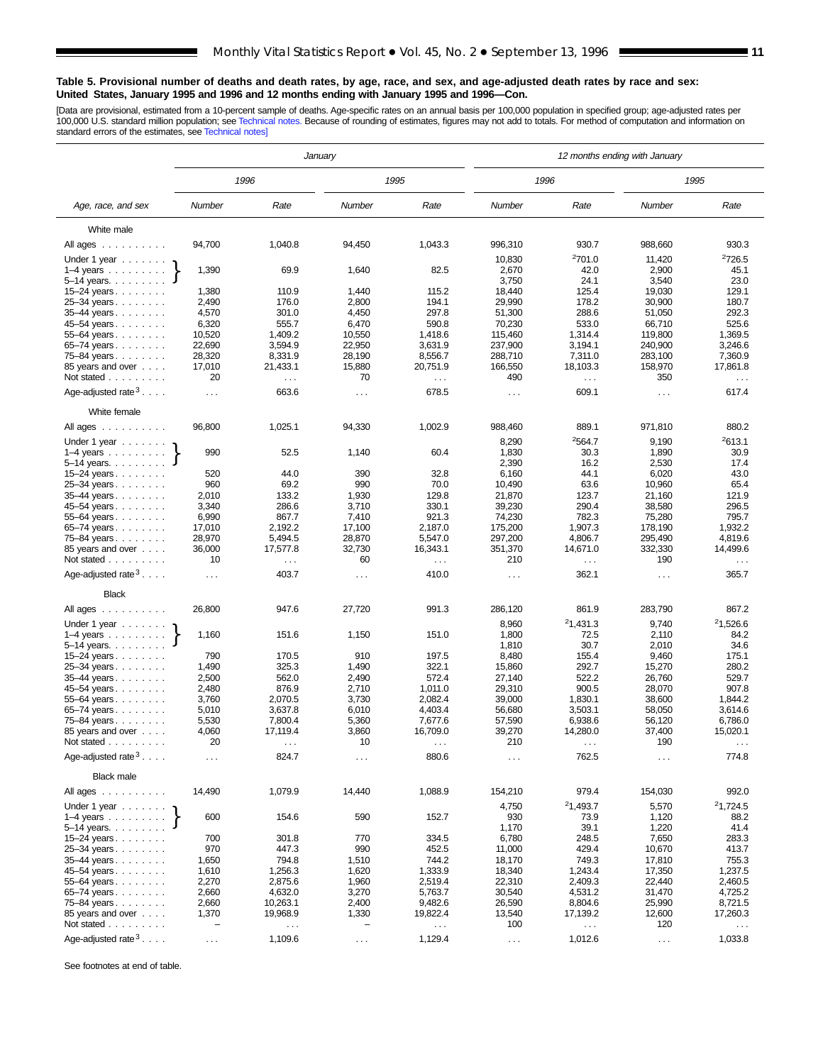#### **Table 5. Provisional number of deaths and death rates, by age, race, and sex, and age-adjusted death rates by race and sex: United States, January 1995 and 1996 and 12 months ending with January 1995 and 1996—Con.**

[Data are provisional, estimated from a 10-percent sample of deaths. Age-specific rates on an annual basis per 100,000 population in specified group; age-adjusted rates per<br>100,000 U.S. standard million population; see Tec

|                                                  | January                  |                               |                          |                               | 12 months ending with January |                              |                   |                                  |  |  |
|--------------------------------------------------|--------------------------|-------------------------------|--------------------------|-------------------------------|-------------------------------|------------------------------|-------------------|----------------------------------|--|--|
|                                                  |                          | 1996                          |                          | 1995                          |                               | 1996                         |                   | 1995                             |  |  |
| Age, race, and sex                               | Number                   | Rate                          | Number                   | Rate                          | Number                        | Rate                         | Number            | Rate                             |  |  |
| White male                                       |                          |                               |                          |                               |                               |                              |                   |                                  |  |  |
| All ages                                         | 94,700                   | 1,040.8                       | 94,450                   | 1,043.3                       | 996,310                       | 930.7                        | 988,660           | 930.3                            |  |  |
| Under 1 year $\ldots \ldots$                     |                          |                               |                          |                               | 10,830                        | 2701.0                       | 11,420            | 2726.5                           |  |  |
| $1-4$ years $\ldots$                             | 1,390                    | 69.9                          | 1,640                    | 82.5                          | 2,670                         | 42.0                         | 2,900             | 45.1                             |  |  |
| 5-14 years.                                      |                          |                               |                          |                               | 3,750                         | 24.1                         | 3,540             | 23.0                             |  |  |
| 15-24 years                                      | 1,380                    | 110.9                         | 1,440                    | 115.2                         | 18,440                        | 125.4                        | 19,030            | 129.1                            |  |  |
| 25-34 years                                      | 2,490<br>4,570           | 176.0<br>301.0                | 2,800<br>4,450           | 194.1<br>297.8                | 29.990<br>51,300              | 178.2<br>288.6               | 30,900<br>51,050  | 180.7<br>292.3                   |  |  |
| 35-44 years<br>45-54 years                       | 6,320                    | 555.7                         | 6,470                    | 590.8                         | 70,230                        | 533.0                        | 66,710            | 525.6                            |  |  |
| 55-64 years                                      | 10,520                   | 1,409.2                       | 10,550                   | 1.418.6                       | 115,460                       | 1,314.4                      | 119,800           | 1,369.5                          |  |  |
| 65-74 years                                      | 22,690                   | 3,594.9                       | 22,950                   | 3,631.9                       | 237,900                       | 3,194.1                      | 240,900           | 3,246.6                          |  |  |
| 75-84 years                                      | 28,320                   | 8,331.9                       | 28,190                   | 8,556.7                       | 288,710                       | 7,311.0                      | 283,100           | 7,360.9                          |  |  |
| 85 years and over                                | 17,010                   | 21,433.1                      | 15,880                   | 20,751.9                      | 166,550                       | 18,103.3                     | 158,970           | 17,861.8                         |  |  |
| Not stated                                       | 20                       | $\sim$ $\sim$                 | 70                       | $\sim$                        | 490                           | $\sim$                       | 350               | $\sim$ $\sim$                    |  |  |
| Age-adjusted rate $3 \ldots$ .                   | $\cdots$                 | 663.6                         | .                        | 678.5                         | $\cdots$                      | 609.1                        | $\ldots$          | 617.4                            |  |  |
| White female                                     |                          |                               |                          |                               |                               |                              |                   |                                  |  |  |
| All ages $\dots$ $\dots$ $\dots$<br>Under 1 year | 96,800                   | 1,025.1                       | 94,330                   | 1,002.9                       | 988,460<br>8,290              | 889.1<br>2564.7              | 971,810<br>9,190  | 880.2<br>2613.1                  |  |  |
| $1-4$ years                                      | 990                      | 52.5                          | 1,140                    | 60.4                          | 1,830                         | 30.3                         | 1,890             | 30.9                             |  |  |
| $5 - 14$ years.                                  |                          |                               |                          |                               | 2,390                         | 16.2                         | 2,530             | 17.4                             |  |  |
| 15-24 years                                      | 520                      | 44.0                          | 390                      | 32.8                          | 6,160                         | 44.1                         | 6,020             | 43.0                             |  |  |
| 25-34 years                                      | 960                      | 69.2                          | 990                      | 70.0                          | 10,490                        | 63.6                         | 10,960            | 65.4                             |  |  |
| 35-44 years                                      | 2,010                    | 133.2                         | 1,930                    | 129.8                         | 21,870                        | 123.7                        | 21,160            | 121.9                            |  |  |
| 45-54 years                                      | 3,340                    | 286.6<br>867.7                | 3,710                    | 330.1<br>921.3                | 39,230                        | 290.4<br>782.3               | 38,580            | 296.5<br>795.7                   |  |  |
| 55-64 years<br>65-74 years                       | 6,990<br>17,010          | 2,192.2                       | 7,410<br>17,100          | 2,187.0                       | 74,230<br>175,200             | 1,907.3                      | 75,280<br>178,190 | 1,932.2                          |  |  |
| 75-84 years                                      | 28,970                   | 5,494.5                       | 28,870                   | 5,547.0                       | 297,200                       | 4,806.7                      | 295,490           | 4,819.6                          |  |  |
| 85 years and over<br>Not stated                  | 36,000<br>10             | 17,577.8<br>$\sim$ $\sim$     | 32,730<br>60             | 16,343.1<br>$\sim$ $\sim$     | 351,370<br>210                | 14,671.0<br>$\cdots$         | 332,330<br>190    | 14,499.6<br>$\sim$ $\sim$ $\sim$ |  |  |
| Age-adjusted rate $3 \ldots$ .                   | $\sim$ .                 | 403.7                         | $\cdots$                 | 410.0                         | $\cdots$                      | 362.1                        | $\ldots$ .        | 365.7                            |  |  |
| <b>Black</b>                                     |                          |                               |                          |                               |                               |                              |                   |                                  |  |  |
| All ages                                         | 26,800                   | 947.6                         | 27,720                   | 991.3                         | 286,120                       | 861.9                        | 283,790           | 867.2                            |  |  |
|                                                  |                          |                               |                          |                               |                               |                              |                   |                                  |  |  |
| Under 1 year<br>$1-4$ years                      | 1,160                    | 151.6                         | 1,150                    | 151.0                         | 8,960<br>1,800                | <sup>2</sup> 1,431.3<br>72.5 | 9,740<br>2,110    | <sup>2</sup> 1,526.6<br>84.2     |  |  |
| 5-14 years.                                      |                          |                               |                          |                               | 1,810                         | 30.7                         | 2,010             | 34.6                             |  |  |
| 15-24 years<br>25-34 years                       | 790<br>1,490             | 170.5<br>325.3                | 910<br>1,490             | 197.5<br>322.1                | 8,480<br>15,860               | 155.4<br>292.7               | 9,460<br>15,270   | 175.1<br>280.2                   |  |  |
| 35-44 years                                      | 2,500                    | 562.0                         | 2,490                    | 572.4                         | 27,140                        | 522.2                        | 26,760            | 529.7                            |  |  |
| 45-54 years                                      | 2,480                    | 876.9                         | 2,710                    | 1,011.0                       | 29,310                        | 900.5                        | 28,070            | 907.8                            |  |  |
| 55-64 years                                      | 3,760                    | 2,070.5                       | 3,730                    | 2,082.4                       | 39,000                        | 1,830.1                      | 38,600            | 1,844.2                          |  |  |
| 65-74 years                                      | 5,010                    | 3,637.8                       | 6,010                    | 4,403.4                       | 56,680                        | 3,503.1                      | 58,050            | 3,614.6                          |  |  |
| 75-84 years                                      | 5,530                    | 7,800.4                       | 5,360                    | 7,677.6                       | 57,590                        | 6,938.6                      | 56,120            | 6,786.0                          |  |  |
| 85 years and over                                | 4,060<br>20              | 17,119.4                      | 3,860<br>10              | 16,709.0                      | 39,270<br>210                 | 14,280.0                     | 37,400<br>190     | 15,020.1                         |  |  |
| Not stated<br>Age-adjusted rate $3 \ldots$ .     |                          | $\sim$ $\sim$ $\sim$<br>824.7 | $\cdots$                 | 880.6                         | $\sim$ $\sim$                 | $\cdots$<br>762.5            | $\sim$ $\sim$     | 774.8                            |  |  |
| <b>Black male</b>                                |                          |                               |                          |                               |                               |                              |                   |                                  |  |  |
| All ages                                         | 14,490                   | 1,079.9                       | 14,440                   | 1,088.9                       | 154,210                       | 979.4                        | 154,030           | 992.0                            |  |  |
| Under 1 year $\ldots$                            |                          |                               |                          |                               | 4,750                         | <sup>2</sup> 1,493.7         | 5,570             | 21,724.5                         |  |  |
| $1-4$ years<br>5–14 years. $\ldots$              | 600                      | 154.6                         | 590                      | 152.7                         | 930<br>1,170                  | 73.9<br>39.1                 | 1,120<br>1,220    | 88.2<br>41.4                     |  |  |
| 15-24 years                                      | 700                      | 301.8                         | 770                      | 334.5                         | 6,780                         | 248.5                        | 7,650             | 283.3                            |  |  |
| 25-34 years                                      | 970                      | 447.3                         | 990                      | 452.5                         | 11,000                        | 429.4                        | 10,670            | 413.7                            |  |  |
| $35 - 44$ years                                  | 1,650                    | 794.8                         | 1,510                    | 744.2                         | 18,170                        | 749.3                        | 17,810            | 755.3                            |  |  |
| 45–54 years                                      | 1,610                    | 1,256.3                       | 1,620                    | 1,333.9                       | 18,340                        | 1,243.4                      | 17,350            | 1,237.5                          |  |  |
| 55-64 years<br>65-74 years                       | 2,270                    | 2,875.6<br>4,632.0            | 1,960                    | 2,519.4<br>5,763.7            | 22,310<br>30,540              | 2,409.3<br>4,531.2           | 22,440<br>31,470  | 2,460.5                          |  |  |
| 75-84 years                                      | 2,660<br>2,660           | 10,263.1                      | 3,270<br>2,400           | 9,482.6                       | 26,590                        | 8,804.6                      | 25,990            | 4,725.2<br>8,721.5               |  |  |
| 85 years and over                                | 1,370                    | 19,968.9                      | 1,330                    | 19,822.4                      | 13,540                        | 17,139.2                     | 12,600            | 17,260.3                         |  |  |
| Not stated                                       | $\overline{\phantom{0}}$ | $\sim$ $\sim$                 | $\overline{\phantom{0}}$ | $\epsilon \rightarrow \infty$ | 100                           | $\sim$ .                     | 120               | $\sim$ $\sim$                    |  |  |
| Age-adjusted rate $3 \ldots$ .                   | $\sim$                   | 1,109.6                       | $\ldots$ .               | 1,129.4                       | $\sim$ $\sim$                 | 1,012.6                      | $\sim$ $\sim$     | 1,033.8                          |  |  |

See footnotes at end of table.

 $\overline{\phantom{a}}$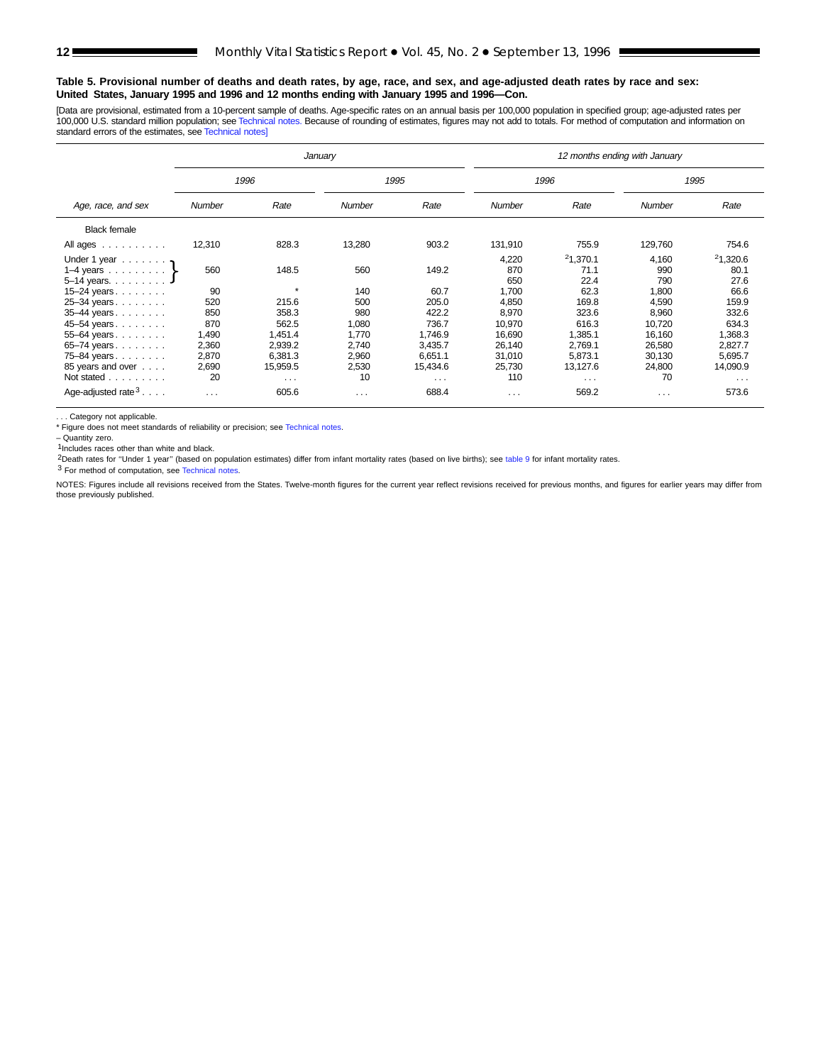#### **Table 5. Provisional number of deaths and death rates, by age, race, and sex, and age-adjusted death rates by race and sex: United States, January 1995 and 1996 and 12 months ending with January 1995 and 1996—Con.**

[Data are provisional, estimated from a 10-percent sample of deaths. Age-specific rates on an annual basis per 100,000 population in specified group; age-adjusted rates per 100,000 U.S. standard million population; see [Technical notes.](#page-16-0) Because of rounding of estimates, figures may not add to totals. For method of computation and information on standard errors of the estimates, see [Technical notes\]](#page-16-0)

|                                |          |                      | January              |                      | 12 months ending with January |                      |          |          |  |  |  |
|--------------------------------|----------|----------------------|----------------------|----------------------|-------------------------------|----------------------|----------|----------|--|--|--|
|                                |          | 1996                 |                      | 1995                 |                               | 1996                 |          | 1995     |  |  |  |
| Age, race, and sex             | Number   | Rate                 | <b>Number</b>        | Rate                 | <b>Number</b>                 | Rate                 | Number   | Rate     |  |  |  |
| <b>Black female</b>            |          |                      |                      |                      |                               |                      |          |          |  |  |  |
| All ages                       | 12,310   | 828.3                | 13,280               | 903.2                | 131,910                       | 755.9                | 129,760  | 754.6    |  |  |  |
| Under 1 year $\ldots \ldots$   |          |                      |                      |                      | 4,220                         | 21,370.1             | 4,160    | 21,320.6 |  |  |  |
| $1-4$ years $\}$               | 560      | 148.5                | 560                  | 149.2                | 870                           | 71.1                 | 990      | 80.1     |  |  |  |
| 5-14 years. J                  |          |                      |                      |                      | 650                           | 22.4                 | 790      | 27.6     |  |  |  |
| 15–24 years. $\ldots$          | 90       | 4                    | 140                  | 60.7                 | 1,700                         | 62.3                 | 1,800    | 66.6     |  |  |  |
| 25-34 years                    | 520      | 215.6                | 500                  | 205.0                | 4,850                         | 169.8                | 4,590    | 159.9    |  |  |  |
| 35-44 years                    | 850      | 358.3                | 980                  | 422.2                | 8,970                         | 323.6                | 8,960    | 332.6    |  |  |  |
| 45-54 years                    | 870      | 562.5                | 1,080                | 736.7                | 10,970                        | 616.3                | 10,720   | 634.3    |  |  |  |
| 55-64 years                    | 1,490    | 1,451.4              | 1,770                | 1.746.9              | 16,690                        | 1,385.1              | 16,160   | 1,368.3  |  |  |  |
| 65–74 years.                   | 2,360    | 2,939.2              | 2,740                | 3,435.7              | 26,140                        | 2,769.1              | 26,580   | 2,827.7  |  |  |  |
| 75-84 years                    | 2,870    | 6,381.3              | 2,960                | 6,651.1              | 31,010                        | 5,873.1              | 30,130   | 5,695.7  |  |  |  |
| 85 years and over              | 2,690    | 15,959.5             | 2,530                | 15,434.6             | 25,730                        | 13,127.6             | 24,800   | 14,090.9 |  |  |  |
| Not stated                     | 20       | $\sim$ $\sim$ $\sim$ | 10                   | $\sim$ $\sim$ $\sim$ | 110                           | $\sim$ $\sim$ $\sim$ | 70       | $\cdots$ |  |  |  |
| Age-adjusted rate $3 \ldots$ . | $\cdots$ | 605.6                | $\sim$ $\sim$ $\sim$ | 688.4                | $\cdots$                      | 569.2                | $\cdots$ | 573.6    |  |  |  |

. . . Category not applicable.<br>\* Figure does not meet standards of reliability or precision; see [Technical notes.](#page-16-0)

– Quantity zero.

 $1$ Includes races other than white and black.

2Death rates for ''Under 1 year'' (based on population estimates) differ from infant mortality rates (based on live births); see table 9 for infant mortality rates.

3 For method of computation, see [Technical notes.](#page-16-0)

NOTES: Figures include all revisions received from the States. Twelve-month figures for the current year reflect revisions received for previous months, and figures for earlier years may differ from those previously published.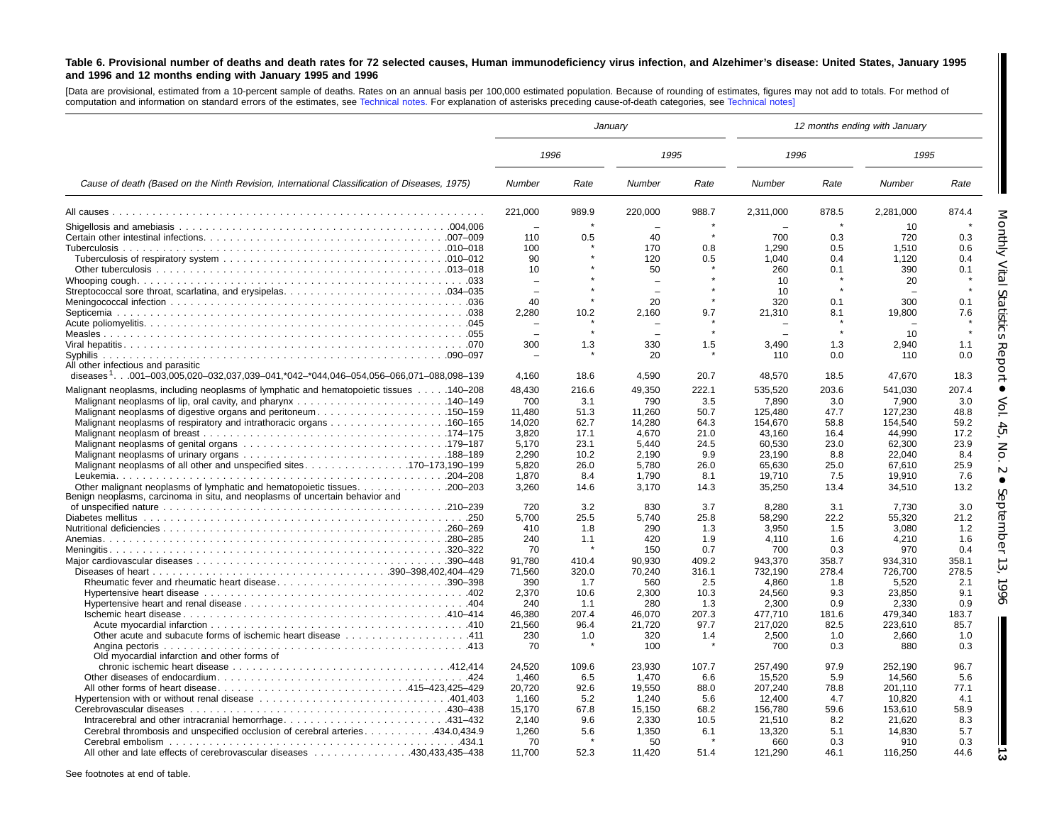#### <span id="page-12-0"></span>Table 6. Provisional number of deaths and death rates for 72 selected causes, Human immunodeficiency virus infection, and Alzehimer's disease: United States, January 1995 **and 1996 and 12 months ending with January 1995 and 1996**

[Data are provisional, estimated from <sup>a</sup> 10-percent sample of deaths. Rates on an annual basis per 100,000 estimated population. Because of rounding of estimates, figures may not add to totals. For method of computation and information on standard errors of the estimates, see [Technical](#page-16-0) notes. For explanation of asterisks preceding cause-of-death categories, see [Technical](#page-16-0) notes]

|                                                                                              |          |             | January                  |             | 12 months ending with January |             |           |             |  |
|----------------------------------------------------------------------------------------------|----------|-------------|--------------------------|-------------|-------------------------------|-------------|-----------|-------------|--|
|                                                                                              | 1996     |             | 1995                     |             | 1996                          |             | 1995      |             |  |
| Cause of death (Based on the Ninth Revision, International Classification of Diseases, 1975) | Number   | Rate        | Number                   | Rate        | Number                        | Rate        | Number    | Rate        |  |
|                                                                                              | 221,000  | 989.9       | 220,000                  | 988.7       | 2,311,000                     | 878.5       | 2,281,000 | 874.4       |  |
|                                                                                              |          |             |                          |             |                               |             | 10        |             |  |
|                                                                                              | 110      | 0.5         | 40                       |             | 700                           | 0.3         | 720       | 0.3         |  |
|                                                                                              | 100      |             | 170                      | 0.8         | 1,290                         | 0.5         | 1.510     | 0.6         |  |
|                                                                                              | 90       |             | 120                      | 0.5         | 1.040                         | 0.4         | 1,120     | 0.4         |  |
|                                                                                              | 10       |             | 50                       |             | 260                           | 0.1         | 390       | 0.1         |  |
|                                                                                              | $\equiv$ |             | $\overline{\phantom{0}}$ |             | 10                            |             | 20        |             |  |
|                                                                                              | $\equiv$ |             |                          |             | 10                            |             |           |             |  |
|                                                                                              | 40       |             | 20                       |             | 320                           | 0.1         | 300       | 0.1         |  |
|                                                                                              | 2.280    | 10.2        | 2.160                    | 9.7         | 21,310                        | 8.1         | 19,800    | 7.6         |  |
|                                                                                              |          |             |                          |             |                               |             |           |             |  |
|                                                                                              |          |             |                          |             |                               |             | 10        |             |  |
|                                                                                              | 300      | 1.3         | 330                      | 1.5         | 3,490                         | 1.3         | 2,940     | 1.1         |  |
| Syphilis                                                                                     |          |             | 20                       |             | 110                           | 0.0         | 110       | 0.0         |  |
| All other infectious and parasitic                                                           |          |             |                          |             |                               |             |           |             |  |
| diseases $1.001-003.005.020-032.037.039-041.$ *042-*044.046-054.056-066.071-088.098-139      | 4.160    | 18.6        | 4,590                    | 20.7        | 48,570                        | 18.5        | 47.670    | 18.3        |  |
| Malignant neoplasms, including neoplasms of lymphatic and hematopoietic tissues 140–208      | 48.430   | 216.6       | 49.350                   | 222.1       | 535.520                       | 203.6       | 541.030   | 207.4       |  |
|                                                                                              |          |             |                          |             |                               |             |           |             |  |
| Malignant neoplasms of digestive organs and peritoneum150–159                                | 700      | 3.1<br>51.3 | 790                      | 3.5<br>50.7 | 7.890                         | 3.0<br>47.7 | 7.900     | 3.0<br>48.8 |  |
|                                                                                              | 11,480   |             | 11,260                   |             | 125,480                       |             | 127,230   |             |  |
|                                                                                              | 14.020   | 62.7        | 14.280                   | 64.3        | 154.670                       | 58.8        | 154.540   | 59.2        |  |
|                                                                                              | 3.820    | 17.1        | 4,670                    | 21.0        | 43.160                        | 16.4        | 44.990    | 17.2        |  |
|                                                                                              | 5.170    | 23.1        | 5.440                    | 24.5        | 60.530                        | 23.0        | 62.300    | 23.9        |  |
|                                                                                              | 2,290    | 10.2        | 2,190                    | 9.9         | 23,190                        | 8.8         | 22,040    | 8.4         |  |
|                                                                                              | 5,820    | 26.0        | 5,780                    | 26.0        | 65,630                        | 25.0        | 67,610    | 25.9        |  |
|                                                                                              | 1.870    | 8.4         | 1.790                    | 8.1         | 19.710                        | 7.5         | 19.910    | 7.6         |  |
| Other malignant neoplasms of lymphatic and hematopoietic tissues. 200–203                    | 3,260    | 14.6        | 3,170                    | 14.3        | 35,250                        | 13.4        | 34,510    | 13.2        |  |
| Benign neoplasms, carcinoma in situ, and neoplasms of uncertain behavior and                 |          |             |                          |             |                               |             |           |             |  |
|                                                                                              | 720      | 3.2         | 830                      | 3.7         | 8,280                         | 3.1         | 7.730     | 3.0         |  |
|                                                                                              | 5,700    | 25.5        | 5,740                    | 25.8        | 58,290                        | 22.2        | 55,320    | 21.2        |  |
|                                                                                              | 410      | 1.8         | 290                      | 1.3         | 3,950                         | 1.5         | 3,080     | 1.2         |  |
|                                                                                              | 240      | 1.1         | 420                      | 1.9         | 4.110                         | 1.6         | 4.210     | 1.6         |  |
|                                                                                              | 70       |             | 150                      | 0.7         | 700                           | 0.3         | 970       | 0.4         |  |
|                                                                                              | 91.780   | 410.4       | 90.930                   | 409.2       | 943.370                       | 358.7       | 934.310   | 358.1       |  |
|                                                                                              | 71,560   | 320.0       | 70,240                   | 316.1       | 732,190                       | 278.4       | 726,700   | 278.5       |  |
| Rheumatic fever and rheumatic heart disease390-398                                           | 390      | 1.7         | 560                      | 2.5         | 4.860                         | 1.8         | 5.520     | 2.1         |  |
|                                                                                              | 2.370    | 10.6        | 2,300                    | 10.3        | 24,560                        | 9.3         | 23,850    | 9.1         |  |
|                                                                                              | 240      | 1.1         | 280                      | 1.3         | 2.300                         | 0.9         | 2,330     | 0.9         |  |
|                                                                                              | 46.380   | 207.4       | 46.070                   | 207.3       | 477.710                       | 181.6       | 479.340   | 183.7       |  |
|                                                                                              | 21.560   | 96.4        | 21.720                   | 97.7        | 217.020                       | 82.5        | 223.610   | 85.7        |  |
|                                                                                              | 230      | 1.0         | 320                      | 1.4         | 2,500                         | 1.0         | 2,660     | 1.0         |  |
|                                                                                              | 70       |             | 100                      |             | 700                           | 0.3         | 880       | 0.3         |  |
| Old myocardial infarction and other forms of                                                 |          |             |                          |             |                               |             |           |             |  |
|                                                                                              | 24,520   | 109.6       | 23,930                   | 107.7       | 257,490                       | 97.9        | 252,190   | 96.7        |  |
|                                                                                              | 1.460    | 6.5         | 1.470                    | 6.6         | 15.520                        | 5.9         | 14.560    | 5.6         |  |
| All other forms of heart disease415–423,425–429                                              | 20,720   | 92.6        | 19,550                   | 88.0        | 207,240                       | 78.8        | 201,110   | 77.1        |  |
|                                                                                              | 1,160    | 5.2         | 1,240                    | 5.6         | 12,400                        | 4.7         | 10,820    | 4.1         |  |
|                                                                                              | 15.170   | 67.8        | 15,150                   | 68.2        | 156,780                       | 59.6        | 153.610   | 58.9        |  |
|                                                                                              | 2.140    | 9.6         | 2,330                    | 10.5        | 21,510                        | 8.2         | 21.620    | 8.3         |  |
| Cerebral thrombosis and unspecified occlusion of cerebral arteries434.0.434.9                | 1,260    | 5.6         | 1,350                    | 6.1         | 13,320                        | 5.1         | 14,830    | 5.7         |  |
|                                                                                              | 70       |             | 50                       |             | 660                           | 0.3         | 910       | 0.3         |  |
|                                                                                              |          |             |                          |             |                               |             |           |             |  |
| All other and late effects of cerebrovascular diseases 430.433.435–438                       | 11,700   | 52.3        | 11,420                   | 51.4        | 121.290                       | 46.1        | 116.250   | 44.6        |  |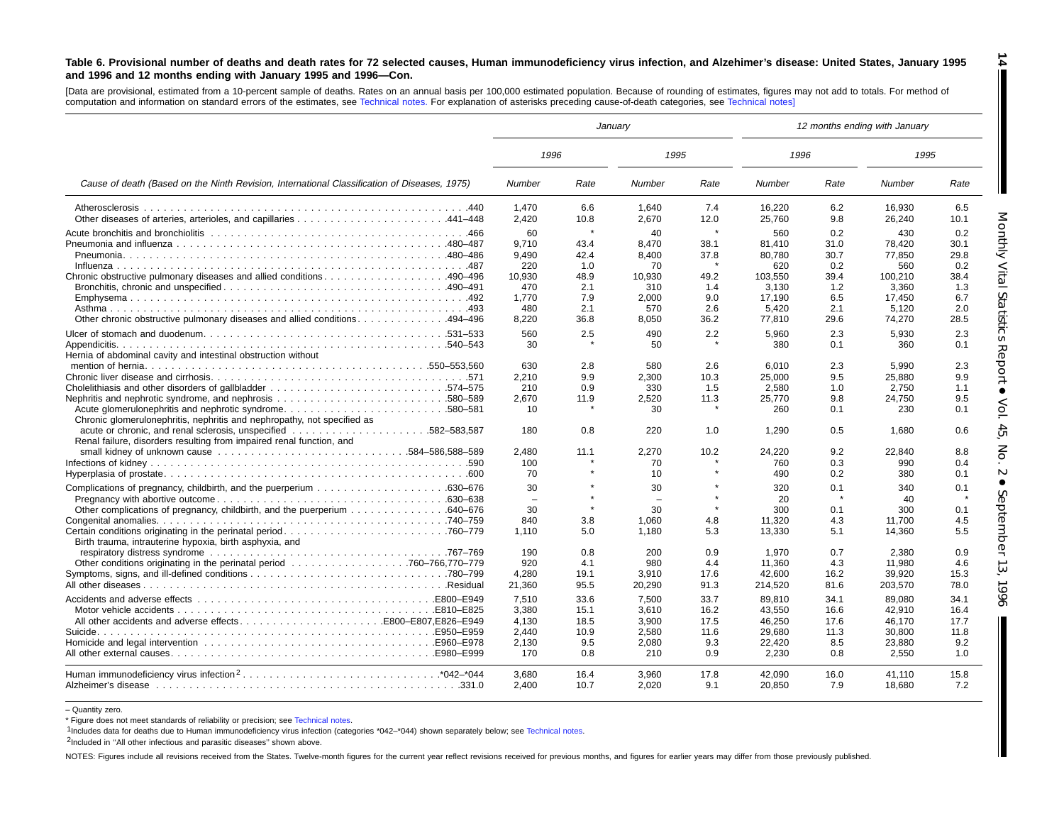#### Table 6. Provisional number of deaths and death rates for 72 selected causes, Human immunodeficiency virus infection, and Alzehimer's disease: United States, January 1995 **and 1996 and 12 months ending with January 1995 and 1996—Con.**

[Data are provisional, estimated from <sup>a</sup> 10-percent sample of deaths. Rates on an annual basis per 100,000 estimated population. Because of rounding of estimates, figures may not add to totals. For method of computation and information on standard errors of the estimates, see [Technical](#page-16-0) notes. For explanation of asterisks preceding cause-of-death categories, see [Technical](#page-16-0) notes]

|                                                                                                                                                    |                                                                       |                                                          | January                                                              |                                                              | 12 months ending with January                                                   |                                                                 |                                                                                 |                                                                 |  |
|----------------------------------------------------------------------------------------------------------------------------------------------------|-----------------------------------------------------------------------|----------------------------------------------------------|----------------------------------------------------------------------|--------------------------------------------------------------|---------------------------------------------------------------------------------|-----------------------------------------------------------------|---------------------------------------------------------------------------------|-----------------------------------------------------------------|--|
|                                                                                                                                                    | 1996                                                                  |                                                          | 1995                                                                 |                                                              | 1996                                                                            |                                                                 | 1995                                                                            |                                                                 |  |
| Cause of death (Based on the Ninth Revision, International Classification of Diseases, 1975)                                                       | Number                                                                | Rate                                                     | Number                                                               | Rate                                                         | Number                                                                          | Rate                                                            | Number                                                                          | Rate                                                            |  |
| Atherosclerosis                                                                                                                                    | 1,470<br>2,420                                                        | 6.6<br>10.8                                              | 1,640<br>2.670                                                       | 7.4<br>12.0                                                  | 16,220<br>25,760                                                                | 6.2<br>9.8                                                      | 16,930<br>26,240                                                                | 6.5<br>10.1                                                     |  |
| Chronic obstructive pulmonary diseases and allied conditions490–496<br>Other chronic obstructive pulmonary diseases and allied conditions. 494-496 | 60<br>9,710<br>9,490<br>220<br>10,930<br>470<br>1,770<br>480<br>8,220 | 43.4<br>42.4<br>1.0<br>48.9<br>2.1<br>7.9<br>2.1<br>36.8 | 40<br>8,470<br>8,400<br>70<br>10,930<br>310<br>2,000<br>570<br>8,050 | $\star$<br>38.1<br>37.8<br>49.2<br>1.4<br>9.0<br>2.6<br>36.2 | 560<br>81.410<br>80,780<br>620<br>103,550<br>3,130<br>17.190<br>5,420<br>77,810 | 0.2<br>31.0<br>30.7<br>0.2<br>39.4<br>1.2<br>6.5<br>2.1<br>29.6 | 430<br>78,420<br>77,850<br>560<br>100,210<br>3,360<br>17.450<br>5,120<br>74,270 | 0.2<br>30.1<br>29.8<br>0.2<br>38.4<br>1.3<br>6.7<br>2.0<br>28.5 |  |
| Hernia of abdominal cavity and intestinal obstruction without                                                                                      | 560<br>30                                                             | 2.5                                                      | 490<br>50                                                            | 2.2                                                          | 5.960<br>380                                                                    | 2.3<br>0.1                                                      | 5.930<br>360                                                                    | 2.3<br>0.1                                                      |  |
| Acute glomerulonephritis and nephrotic syndrome580–581<br>Chronic glomerulonephritis, nephritis and nephropathy, not specified as                  | 630<br>2,210<br>210<br>2,670<br>10                                    | 2.8<br>9.9<br>0.9<br>11.9                                | 580<br>2,300<br>330<br>2,520<br>30                                   | 2.6<br>10.3<br>1.5<br>11.3                                   | 6,010<br>25,000<br>2,580<br>25,770<br>260                                       | 2.3<br>9.5<br>1.0<br>9.8<br>0.1                                 | 5,990<br>25,880<br>2,750<br>24,750<br>230                                       | 2.3<br>9.9<br>1.1<br>9.5<br>0.1                                 |  |
| Renal failure, disorders resulting from impaired renal function, and                                                                               | 180<br>2.480<br>100<br>70                                             | 0.8<br>11.1                                              | 220<br>2.270<br>70<br>10                                             | 1.0<br>10.2                                                  | 1.290<br>24,220<br>760<br>490                                                   | 0.5<br>9.2<br>0.3<br>0.2                                        | 1.680<br>22.840<br>990<br>380                                                   | 0.6<br>8.8<br>0.4<br>0.1                                        |  |
|                                                                                                                                                    | 30<br>$\overline{\phantom{a}}$<br>30                                  |                                                          | 30<br>30                                                             |                                                              | 320<br>20<br>300                                                                | 0.1<br>0.1                                                      | 340<br>40<br>300                                                                | 0.1<br>0.1                                                      |  |
| Birth trauma, intrauterine hypoxia, birth asphyxia, and                                                                                            | 840<br>1.110                                                          | 3.8<br>5.0                                               | 1,060<br>1.180                                                       | 4.8<br>5.3                                                   | 11,320<br>13,330                                                                | 4.3<br>5.1                                                      | 11,700<br>14,360                                                                | 4.5<br>5.5                                                      |  |
|                                                                                                                                                    | 190<br>920<br>4,280<br>21,360                                         | 0.8<br>4.1<br>19.1<br>95.5                               | 200<br>980<br>3,910<br>20,290                                        | 0.9<br>4.4<br>17.6<br>91.3                                   | 1.970<br>11,360<br>42,600<br>214,520                                            | 0.7<br>4.3<br>16.2<br>81.6                                      | 2.380<br>11,980<br>39,920<br>203,570                                            | 0.9<br>4.6<br>15.3<br>78.0                                      |  |
|                                                                                                                                                    | 7,510<br>3.380<br>4,130<br>2,440<br>2,130<br>170                      | 33.6<br>15.1<br>18.5<br>10.9<br>9.5<br>0.8               | 7,500<br>3.610<br>3,900<br>2,580<br>2,080<br>210                     | 33.7<br>16.2<br>17.5<br>11.6<br>9.3<br>0.9                   | 89,810<br>43.550<br>46,250<br>29,680<br>22,420<br>2,230                         | 34.1<br>16.6<br>17.6<br>11.3<br>8.5<br>0.8                      | 89,080<br>42.910<br>46,170<br>30,800<br>23,880<br>2,550                         | 34.1<br>16.4<br>17.7<br>11.8<br>9.2<br>1.0                      |  |
|                                                                                                                                                    | 3,680<br>2.400                                                        | 16.4<br>10.7                                             | 3,960<br>2,020                                                       | 17.8<br>9.1                                                  | 42,090<br>20,850                                                                | 16.0<br>7.9                                                     | 41,110<br>18,680                                                                | 15.8<br>7.2                                                     |  |

– Quantity zero.

\* Figure does not meet standards of reliability or precision; see [Technical](#page-16-0) notes.

1Includes data for deaths due to Human immunodeficiency virus infection (categories \*042–\*044) shown separately below; see [Technical](#page-16-0) notes.

<sup>2</sup>Included in "All other infectious and parasitic diseases" shown above.

NOTES: Figures include all revisions received from the States. Twelve-month figures for the current year reflect revisions received for previous months, and figures for earlier years may differ from those previously publis

Monthly Vital Statistics Report  $\bullet$ Vol. 45, No. $\mathbf{A}$  $\bullet$ September13, 1996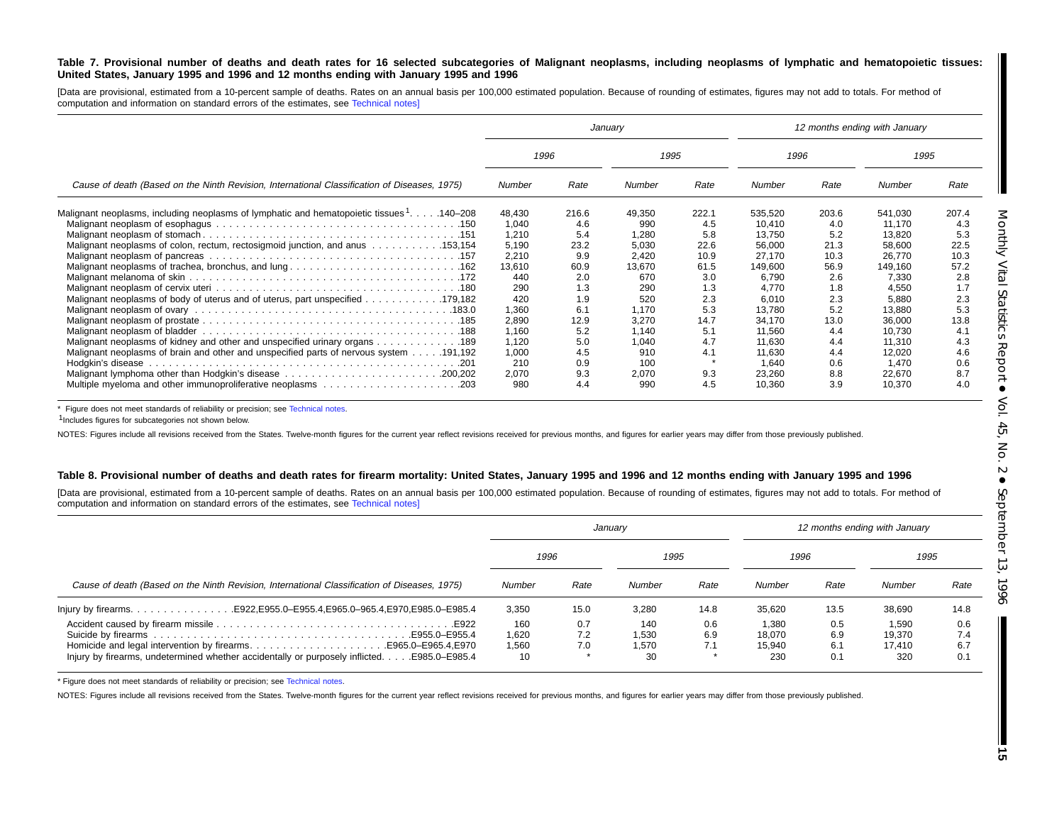#### Table 7. Provisional number of deaths and death rates for 16 selected subcategories of Malignant neoplasms, including neoplasms of lymphatic and hematopoietic tissues: United States, January 1995 and 1996 and 12 months ending with January 1995 and 1996

[Data are provisional, estimated from a 10-percent sample of deaths. Rates on an annual basis per 100,000 estimated population. Because of rounding of estimates, figures may not add to totals. For method of computation and information on standard errors of the estimates, see [Technical](#page-16-0) notes]

|                                                                                              |        |       | January |       |         | 12 months ending with January |         |       |
|----------------------------------------------------------------------------------------------|--------|-------|---------|-------|---------|-------------------------------|---------|-------|
|                                                                                              | 1996   |       | 1995    |       | 1996    |                               | 1995    |       |
| Cause of death (Based on the Ninth Revision, International Classification of Diseases, 1975) | Number | Rate  | Number  | Rate  | Number  | Rate                          | Number  | Rate  |
| Malignant neoplasms, including neoplasms of lymphatic and hematopoietic tissues 1. 140–208   | 48,430 | 216.6 | 49,350  | 222.1 | 535,520 | 203.6                         | 541.030 | 207.4 |
|                                                                                              | 1,040  | 4.6   | 990     | 4.5   | 10.410  | 4.0                           | 11.170  | 4.3   |
|                                                                                              | 1,210  | 5.4   | 1,280   | 5.8   | 13.750  | 5.2                           | 13.820  | 5.3   |
| Malignant neoplasms of colon, rectum, rectosigmoid junction, and anus  153,154               | 5,190  | 23.2  | 5,030   | 22.6  | 56,000  | 21.3                          | 58,600  | 22.5  |
|                                                                                              | 2,210  | 9.9   | 2,420   | 10.9  | 27,170  | 10.3                          | 26,770  | 10.3  |
| Malignant neoplasms of trachea, bronchus, and lung162                                        | 13,610 | 60.9  | 13,670  | 61.5  | 149,600 | 56.9                          | 149,160 | 57.2  |
|                                                                                              | 440    | 2.0   | 670     | 3.0   | 6,790   | 2.6                           | 7,330   | 2.8   |
|                                                                                              | 290    | 1.3   | 290     | 1.3   | 4.770   | 1.8                           | 4,550   | 1.7   |
| Malignant neoplasms of body of uterus and of uterus, part unspecified 179,182                | 420    | 1.9   | 520     | 2.3   | 6,010   | 2.3                           | 5,880   | 2.3   |
|                                                                                              | 1,360  | 6.1   | 1.170   | 5.3   | 13.780  | 5.2                           | 13.880  | 5.3   |
|                                                                                              | 2,890  | 12.9  | 3,270   | 14.7  | 34,170  | 13.0                          | 36,000  | 13.8  |
|                                                                                              | 1,160  | 5.2   | 1.140   | 5.1   | 11.560  | 4.4                           | 10.730  | 4.1   |
| Malignant neoplasms of kidney and other and unspecified urinary organs 189                   | 1,120  | 5.0   | 1,040   | 4.7   | 11,630  | 4.4                           | 11,310  | 4.3   |
| Malignant neoplasms of brain and other and unspecified parts of nervous system 191,192       | 1,000  | 4.5   | 910     | 4.1   | 11,630  | 4.4                           | 12,020  | 4.6   |
|                                                                                              | 210    | 0.9   | 100     |       | 1,640   | 0.6                           | 1.470   | 0.6   |
|                                                                                              | 2,070  | 9.3   | 2,070   | 9.3   | 23,260  | 8.8                           | 22,670  | 8.7   |
| Multiple myeloma and other immunoproliferative neoplasms 203                                 | 980    | 4.4   | 990     | 4.5   | 10,360  | 3.9                           | 10.370  | 4.0   |

\* Figure does not meet standards of reliability or precision; see [Technical](#page-16-0) notes.

1Includes figures for subcategories not shown below.

NOTES: Figures include all revisions received from the States. Twelve-month figures for the current year reflect revisions received for previous months, and figures for earlier years may differ from those previously publis

#### Table 8. Provisional number of deaths and death rates for firearm mortality: United States, January 1995 and 1996 and 12 months ending with January 1995 and 1996

[Data are provisional, estimated from a 10-percent sample of deaths. Rates on an annual basis per 100,000 estimated population. Because of rounding of estimates, figures may not add to totals. For method of computation and information on standard errors of the estimates, see [Technical](#page-16-0) notes]

|                                                                                                                                                               |                             |                   | January                     |                   |                                  |                          | 12 months ending with January    |                          |
|---------------------------------------------------------------------------------------------------------------------------------------------------------------|-----------------------------|-------------------|-----------------------------|-------------------|----------------------------------|--------------------------|----------------------------------|--------------------------|
|                                                                                                                                                               | 1996                        |                   | 1995                        |                   | 1996                             |                          | 1995                             |                          |
| Cause of death (Based on the Ninth Revision, International Classification of Diseases, 1975)                                                                  | Number                      | Rate              | Number                      | Rate              | Number                           | Rate                     | Number                           | Rate                     |
|                                                                                                                                                               | 3,350                       | 15.0              | 3.280                       | 14.8              | 35.620                           | 13.5                     | 38,690                           | 14.8                     |
| Homicide and legal intervention by firearmsE965.0–E965.4, E970<br>Injury by firearms, undetermined whether accidentally or purposely inflicted. E985.0–E985.4 | 160<br>1.620<br>1,560<br>10 | 0.7<br>7.2<br>7.0 | 140<br>1,530<br>1,570<br>30 | 0.6<br>6.9<br>7.1 | 1,380<br>18.070<br>15.940<br>230 | 0.5<br>6.9<br>6.1<br>0.1 | 1.590<br>19.370<br>17.410<br>320 | 0.6<br>7.4<br>6.7<br>0.1 |

\* Figure does not meet standards of reliability or precision; see [Technical](#page-16-0) notes.

NOTES: Figures include all revisions received from the States. Twelve-month figures for the current year reflect revisions received for previous months, and figures for earlier years may differ from those previously publis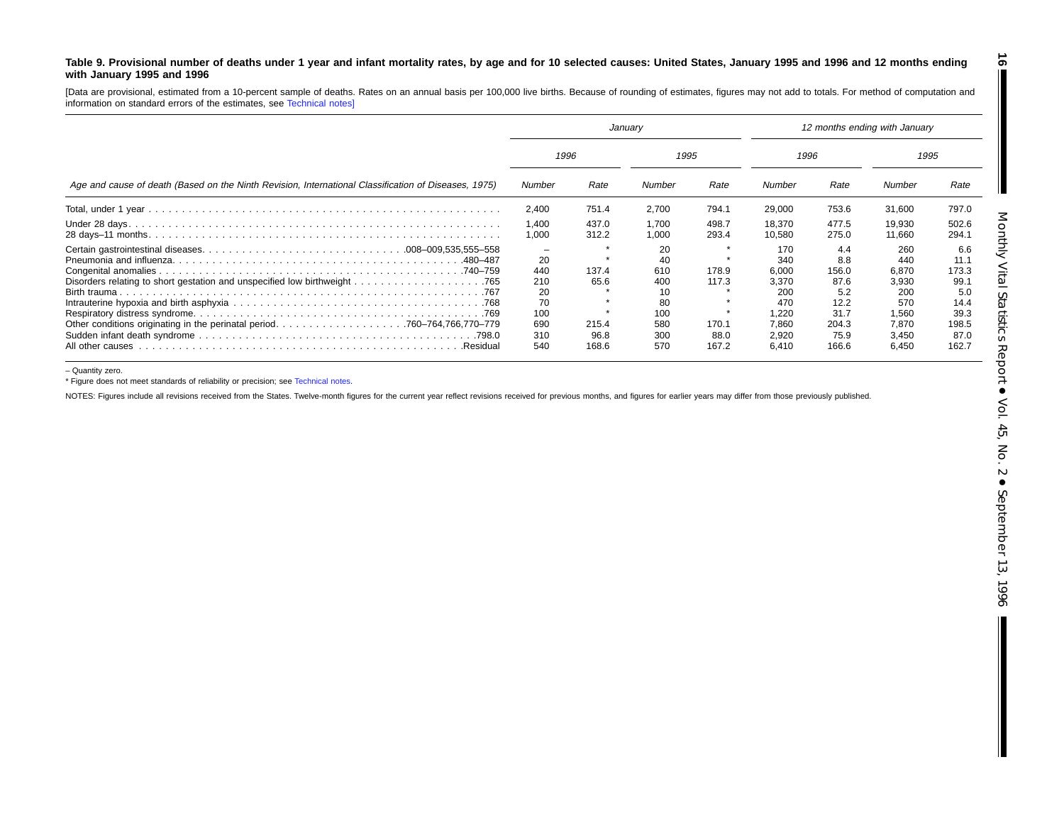#### Table 9. Provisional number of deaths under 1 year and infant mortality rates, by age and for 10 selected causes: United States, January 1995 and 1996 and 12 months ending **with January 1995 and 1996**

[Data are provisional, estimated from <sup>a</sup> 10-percent sample of deaths. Rates on an annual basis per 100,000 live births. Because of rounding of estimates, figures may not add to totals. For method of computation and information on standard errors of the estimates, see [Technical](#page-16-0) notes]

|                                                                                                      | January                                    |                        |                                                  |                              | 12 months ending with January                                |                                                             |                                                              |                                                              |
|------------------------------------------------------------------------------------------------------|--------------------------------------------|------------------------|--------------------------------------------------|------------------------------|--------------------------------------------------------------|-------------------------------------------------------------|--------------------------------------------------------------|--------------------------------------------------------------|
|                                                                                                      | 1996                                       |                        | 1995                                             |                              | 1996                                                         |                                                             | 1995                                                         |                                                              |
| Age and cause of death (Based on the Ninth Revision, International Classification of Diseases, 1975) | Number                                     | Rate                   | Number                                           | Rate                         | Number                                                       | Rate                                                        | Number                                                       | Rate                                                         |
|                                                                                                      | 2,400                                      | 751.4                  | 2.700                                            | 794.1                        | 29,000                                                       | 753.6                                                       | 31.600                                                       | 797.0                                                        |
|                                                                                                      | 1.400<br>1,000                             | 437.0<br>312.2         | 1.700<br>1,000                                   | 498.7<br>293.4               | 18,370<br>10.580                                             | 477.5<br>275.0                                              | 19,930<br>11.660                                             | 502.6<br>294.1                                               |
| .480–487                                                                                             | 20<br>440<br>210<br>20<br>70<br>100<br>690 | 137.4<br>65.6<br>215.4 | 20<br>40<br>610<br>400<br>10<br>80<br>100<br>580 | ÷<br>178.9<br>117.3<br>170.1 | 170<br>340<br>6,000<br>3.370<br>200<br>470<br>1,220<br>7.860 | 4.4<br>8.8<br>156.0<br>87.6<br>5.2<br>12.2<br>31.7<br>204.3 | 260<br>440<br>6,870<br>3,930<br>200<br>570<br>1,560<br>7.870 | 6.6<br>11.1<br>173.3<br>99.1<br>5.0<br>14.4<br>39.3<br>198.5 |
| All other causes.<br>.Residual                                                                       | 310<br>540                                 | 96.8<br>168.6          | 300<br>570                                       | 88.0<br>167.2                | 2,920<br>6,410                                               | 75.9<br>166.6                                               | 3,450<br>6,450                                               | 87.0<br>162.7                                                |

– Quantity zero.

\* Figure does not meet standards of reliability or precision; see [Technical](#page-16-0) notes.

NOTES: Figures include all revisions received from the States. Twelve-month figures for the current year reflect revisions received for previous months, and figures for earlier years may differ from those previously publis

**16**

 $\blacksquare$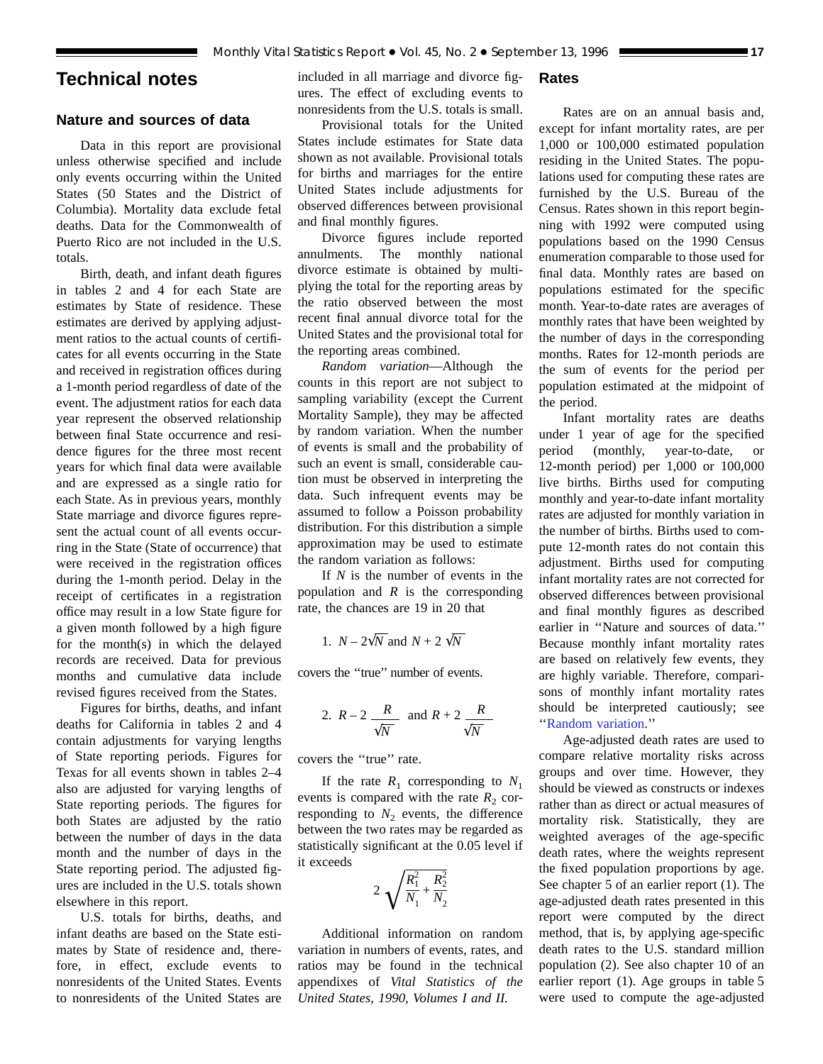## <span id="page-16-0"></span>**Technical notes**

## **Nature and sources of data**

Data in this report are provisional unless otherwise specified and include only events occurring within the United States (50 States and the District of Columbia). Mortality data exclude fetal deaths. Data for the Commonwealth of Puerto Rico are not included in the U.S. totals.

Birth, death, and infant death figures in [tables 2](#page-6-0) and [4](#page-8-0) for each State are estimates by State of residence. These estimates are derived by applying adjustment ratios to the actual counts of certificates for all events occurring in the State and received in registration offices during a 1-month period regardless of date of the event. The adjustment ratios for each data year represent the observed relationship between final State occurrence and residence figures for the three most recent years for which final data were available and are expressed as a single ratio for each State. As in previous years, monthly State marriage and divorce figures represent the actual count of all events occurring in the State (State of occurrence) that were received in the registration offices during the 1-month period. Delay in the receipt of certificates in a registration office may result in a low State figure for a given month followed by a high figure for the month(s) in which the delayed records are received. Data for previous months and cumulative data include revised figures received from the States.

Figures for births, deaths, and infant deaths for California i[n tables 2](#page-6-0) and [4](#page-8-0) contain adjustments for varying lengths of State reporting periods. Figures for Texas for all events shown in [tables 2–4](#page-6-0) also are adjusted for varying lengths of State reporting periods. The figures for both States are adjusted by the ratio between the number of days in the data month and the number of days in the State reporting period. The adjusted figures are included in the U.S. totals shown elsewhere in this report.

U.S. totals for births, deaths, and infant deaths are based on the State estimates by State of residence and, therefore, in effect, exclude events to nonresidents of the United States. Events to nonresidents of the United States are included in all marriage and divorce figures. The effect of excluding events to nonresidents from the U.S. totals is small.

## Provisional totals for the United States include estimates for State data shown as not available. Provisional totals for births and marriages for the entire United States include adjustments for observed differences between provisional and final monthly figures.

Divorce figures include reported annulments. The monthly national divorce estimate is obtained by multiplying the total for the reporting areas by the ratio observed between the most recent final annual divorce total for the United States and the provisional total for the reporting areas combined.

*Random variation*—Although the counts in this report are not subject to sampling variability (except the Current Mortality Sample), they may be affected by random variation. When the number of events is small and the probability of such an event is small, considerable caution must be observed in interpreting the data. Such infrequent events may be assumed to follow a Poisson probability distribution. For this distribution a simple approximation may be used to estimate the random variation as follows:

If *N* is the number of events in the population and *R* is the corresponding rate, the chances are 19 in 20 that

1. 
$$
N - 2\sqrt{N}
$$
 and  $N + 2\sqrt{N}$ 

covers the ''true'' number of events.

2. 
$$
R-2
$$
  $\frac{R}{\sqrt{N}}$  and  $R+2$   $\frac{R}{\sqrt{N}}$ 

covers the ''true'' rate.

If the rate  $R_1$  corresponding to  $N_1$ events is compared with the rate  $R_2$  corresponding to  $N_2$  events, the difference between the two rates may be regarded as statistically significant at the 0.05 level if it exceeds

$$
2\sqrt{\frac{R_1^2}{N_1} + \frac{R_2^2}{N_2}}
$$

Additional information on random variation in numbers of events, rates, and ratios may be found in the technical appendixes of *Vital Statistics of the United States, 1990, Volumes I and II.*

#### **Rates**

Rates are on an annual basis and, except for infant mortality rates, are per 1,000 or 100,000 estimated population residing in the United States. The populations used for computing these rates are furnished by the U.S. Bureau of the Census. Rates shown in this report beginning with 1992 were computed using populations based on the 1990 Census enumeration comparable to those used for final data. Monthly rates are based on populations estimated for the specific month. Year-to-date rates are averages of monthly rates that have been weighted by the number of days in the corresponding months. Rates for 12-month periods are the sum of events for the period per population estimated at the midpoint of the period.

Infant mortality rates are deaths under 1 year of age for the specified period (monthly, year-to-date, or 12-month period) per 1,000 or 100,000 live births. Births used for computing monthly and year-to-date infant mortality rates are adjusted for monthly variation in the number of births. Births used to compute 12-month rates do not contain this adjustment. Births used for computing infant mortality rates are not corrected for observed differences between provisional and final monthly figures as described earlier in ''Nature and sources of data.'' Because monthly infant mortality rates are based on relatively few events, they are highly variable. Therefore, comparisons of monthly infant mortality rates should be interpreted cautiously; see ''Random variation.''

Age-adjusted death rates are used to compare relative mortality risks across groups and over time. However, they should be viewed as constructs or indexes rather than as direct or actual measures of mortality risk. Statistically, they are weighted averages of the age-specific death rates, where the weights represent the fixed population proportions by age. See chapter 5 of an earlier report (1). The age-adjusted death rates presented in this report were computed by the direct method, that is, by applying age-specific death rates to the U.S. standard million population (2). See also chapter 10 of an earlier report (1). Age groups in [table 5](#page-9-0) were used to compute the age-adjusted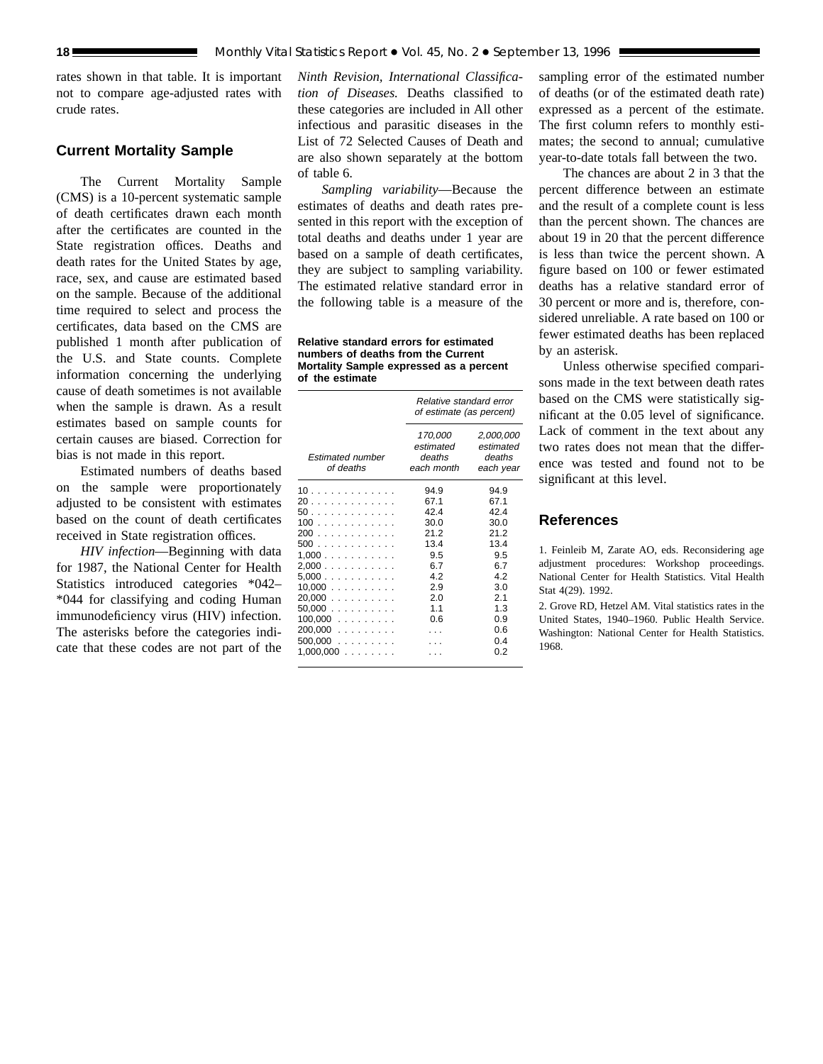rates shown in that table. It is important not to compare age-adjusted rates with crude rates.

## **Current Mortality Sample**

The Current Mortality Sample (CMS) is a 10-percent systematic sample of death certificates drawn each month after the certificates are counted in the State registration offices. Deaths and death rates for the United States by age, race, sex, and cause are estimated based on the sample. Because of the additional time required to select and process the certificates, data based on the CMS are published 1 month after publication of the U.S. and State counts. Complete information concerning the underlying cause of death sometimes is not available when the sample is drawn. As a result estimates based on sample counts for certain causes are biased. Correction for bias is not made in this report.

Estimated numbers of deaths based on the sample were proportionately adjusted to be consistent with estimates based on the count of death certificates received in State registration offices.

*HIV infection*—Beginning with data for 1987, the National Center for Health Statistics introduced categories \*042– \*044 for classifying and coding Human immunodeficiency virus (HIV) infection. The asterisks before the categories indicate that these codes are not part of the

*Ninth Revision, International Classification of Diseases.* Deaths classified to these categories are included in All other infectious and parasitic diseases in the List of 72 Selected Causes of Death and are also shown separately at the bottom of [table 6.](#page-12-0)

*Sampling variability*—Because the estimates of deaths and death rates presented in this report with the exception of total deaths and deaths under 1 year are based on a sample of death certificates, they are subject to sampling variability. The estimated relative standard error in the following table is a measure of the

**Relative standard errors for estimated numbers of deaths from the Current Mortality Sample expressed as a percent of the estimate**

|                                      | Relative standard error<br>of estimate (as percent) |                                               |  |  |
|--------------------------------------|-----------------------------------------------------|-----------------------------------------------|--|--|
| <b>Estimated number</b><br>of deaths | 170,000<br>estimated<br>deaths<br>each month        | 2,000,000<br>estimated<br>deaths<br>each year |  |  |
| 10.                                  | 94.9                                                | 94.9                                          |  |  |
| 20                                   | 67.1                                                | 67.1                                          |  |  |
| 50.                                  | 42.4                                                | 424                                           |  |  |
| 100                                  | 30.0                                                | 30.0                                          |  |  |
| 200                                  | 21.2                                                | 212                                           |  |  |
| 500                                  | 13.4                                                | 13.4                                          |  |  |
| 1.000                                | 9.5                                                 | 9.5                                           |  |  |
| 2,000                                | 6.7                                                 | 6.7                                           |  |  |
| 5.000                                | 42                                                  | 42                                            |  |  |
| 10.000                               | 2.9                                                 | 3.0                                           |  |  |
| $20,000$                             | 2.0                                                 | 2.1                                           |  |  |
| 50.000                               | 1.1                                                 | 1.3                                           |  |  |
| $100,000$                            | 0.6                                                 | 0.9                                           |  |  |
| $200,000$                            |                                                     | 0.6                                           |  |  |
| $500,000$                            |                                                     | 04                                            |  |  |
| 1,000,000<br>1.1.1.1.1.1             |                                                     | 0.2                                           |  |  |

sampling error of the estimated number of deaths (or of the estimated death rate) expressed as a percent of the estimate. The first column refers to monthly estimates; the second to annual; cumulative year-to-date totals fall between the two.

The chances are about 2 in 3 that the percent difference between an estimate and the result of a complete count is less than the percent shown. The chances are about 19 in 20 that the percent difference is less than twice the percent shown. A figure based on 100 or fewer estimated deaths has a relative standard error of 30 percent or more and is, therefore, considered unreliable. A rate based on 100 or fewer estimated deaths has been replaced by an asterisk.

Unless otherwise specified comparisons made in the text between death rates based on the CMS were statistically significant at the 0.05 level of significance. Lack of comment in the text about any two rates does not mean that the difference was tested and found not to be significant at this level.

## **References**

1. Feinleib M, Zarate AO, eds. Reconsidering age adjustment procedures: Workshop proceedings. National Center for Health Statistics. Vital Health Stat 4(29). 1992.

2. Grove RD, Hetzel AM. Vital statistics rates in the United States, 1940–1960. Public Health Service. Washington: National Center for Health Statistics. 1968.